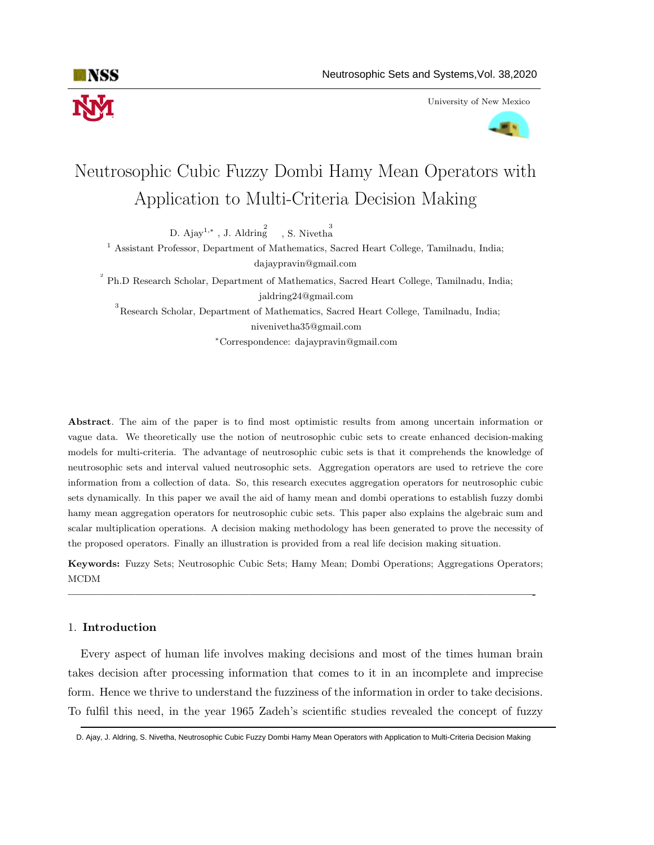

University of New Mexico



# Neutrosophic Cubic Fuzzy Dombi Hamy Mean Operators with Application to Multi-Criteria Decision Making

D. Ajay<sup>1,\*</sup>, J. Aldring , S. Nivetha

<sup>1</sup> Assistant Professor, Department of Mathematics, Sacred Heart College, Tamilnadu, India; dajaypravin@gmail.com

<sup>2</sup> Ph.D Research Scholar, Department of Mathematics, Sacred Heart College, Tamilnadu, India; jaldring24@gmail.com

 $3$ Research Scholar, Department of Mathematics, Sacred Heart College, Tamilnadu, India; nivenivetha35@gmail.com

<sup>∗</sup>Correspondence: dajaypravin@gmail.com

Abstract. The aim of the paper is to find most optimistic results from among uncertain information or vague data. We theoretically use the notion of neutrosophic cubic sets to create enhanced decision-making models for multi-criteria. The advantage of neutrosophic cubic sets is that it comprehends the knowledge of neutrosophic sets and interval valued neutrosophic sets. Aggregation operators are used to retrieve the core information from a collection of data. So, this research executes aggregation operators for neutrosophic cubic sets dynamically. In this paper we avail the aid of hamy mean and dombi operations to establish fuzzy dombi hamy mean aggregation operators for neutrosophic cubic sets. This paper also explains the algebraic sum and scalar multiplication operations. A decision making methodology has been generated to prove the necessity of the proposed operators. Finally an illustration is provided from a real life decision making situation.

Keywords: Fuzzy Sets; Neutrosophic Cubic Sets; Hamy Mean; Dombi Operations; Aggregations Operators; MCDM

—————————————————————————————————————————-

# 1. Introduction

Every aspect of human life involves making decisions and most of the times human brain takes decision after processing information that comes to it in an incomplete and imprecise form. Hence we thrive to understand the fuzziness of the information in order to take decisions. To fulfil this need, in the year 1965 Zadeh's scientific studies revealed the concept of fuzzy

D. Ajay, J. Aldring, S. Nivetha, Neutrosophic Cubic Fuzzy Dombi Hamy Mean Operators with Application to Multi-Criteria Decision Making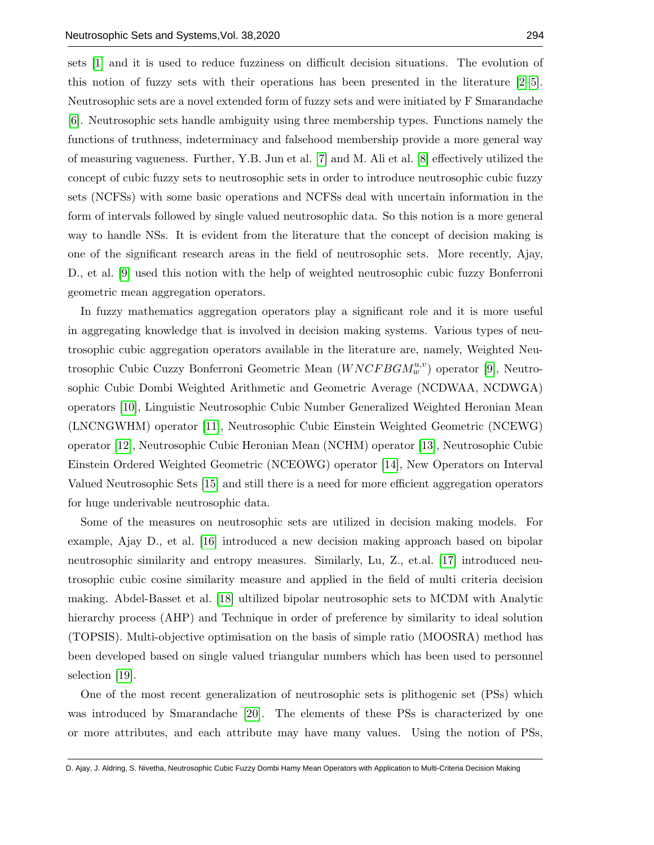sets [\[1\]](#page-21-0) and it is used to reduce fuzziness on difficult decision situations. The evolution of this notion of fuzzy sets with their operations has been presented in the literature [\[2–](#page-21-1)[5\]](#page-22-0). Neutrosophic sets are a novel extended form of fuzzy sets and were initiated by F Smarandache [\[6\]](#page-22-1). Neutrosophic sets handle ambiguity using three membership types. Functions namely the functions of truthness, indeterminacy and falsehood membership provide a more general way of measuring vagueness. Further, Y.B. Jun et al. [\[7\]](#page-22-2) and M. Ali et al. [\[8\]](#page-22-3) effectively utilized the concept of cubic fuzzy sets to neutrosophic sets in order to introduce neutrosophic cubic fuzzy sets (NCFSs) with some basic operations and NCFSs deal with uncertain information in the form of intervals followed by single valued neutrosophic data. So this notion is a more general way to handle NSs. It is evident from the literature that the concept of decision making is one of the significant research areas in the field of neutrosophic sets. More recently, Ajay, D., et al. [\[9\]](#page-22-4) used this notion with the help of weighted neutrosophic cubic fuzzy Bonferroni geometric mean aggregation operators.

In fuzzy mathematics aggregation operators play a significant role and it is more useful in aggregating knowledge that is involved in decision making systems. Various types of neutrosophic cubic aggregation operators available in the literature are, namely, Weighted Neutrosophic Cubic Cuzzy Bonferroni Geometric Mean  $(WNCFBGM_w^{u,v})$  operator [\[9\]](#page-22-4), Neutrosophic Cubic Dombi Weighted Arithmetic and Geometric Average (NCDWAA, NCDWGA) operators [\[10\]](#page-22-5), Linguistic Neutrosophic Cubic Number Generalized Weighted Heronian Mean (LNCNGWHM) operator [\[11\]](#page-22-6), Neutrosophic Cubic Einstein Weighted Geometric (NCEWG) operator [\[12\]](#page-22-7), Neutrosophic Cubic Heronian Mean (NCHM) operator [\[13\]](#page-22-8), Neutrosophic Cubic Einstein Ordered Weighted Geometric (NCEOWG) operator [\[14\]](#page-22-9), New Operators on Interval Valued Neutrosophic Sets [\[15\]](#page-22-10) and still there is a need for more efficient aggregation operators for huge underivable neutrosophic data.

Some of the measures on neutrosophic sets are utilized in decision making models. For example, Ajay D., et al. [\[16\]](#page-22-11) introduced a new decision making approach based on bipolar neutrosophic similarity and entropy measures. Similarly, Lu, Z., et.al. [\[17\]](#page-22-12) introduced neutrosophic cubic cosine similarity measure and applied in the field of multi criteria decision making. Abdel-Basset et al. [\[18\]](#page-22-13) ultilized bipolar neutrosophic sets to MCDM with Analytic hierarchy process (AHP) and Technique in order of preference by similarity to ideal solution (TOPSIS). Multi-objective optimisation on the basis of simple ratio (MOOSRA) method has been developed based on single valued triangular numbers which has been used to personnel selection [\[19\]](#page-22-14).

One of the most recent generalization of neutrosophic sets is plithogenic set (PSs) which was introduced by Smarandache [\[20\]](#page-22-15). The elements of these PSs is characterized by one or more attributes, and each attribute may have many values. Using the notion of PSs,

D. Ajay, J. Aldring, S. Nivetha, Neutrosophic Cubic Fuzzy Dombi Hamy Mean Operators with Application to Multi-Criteria Decision Making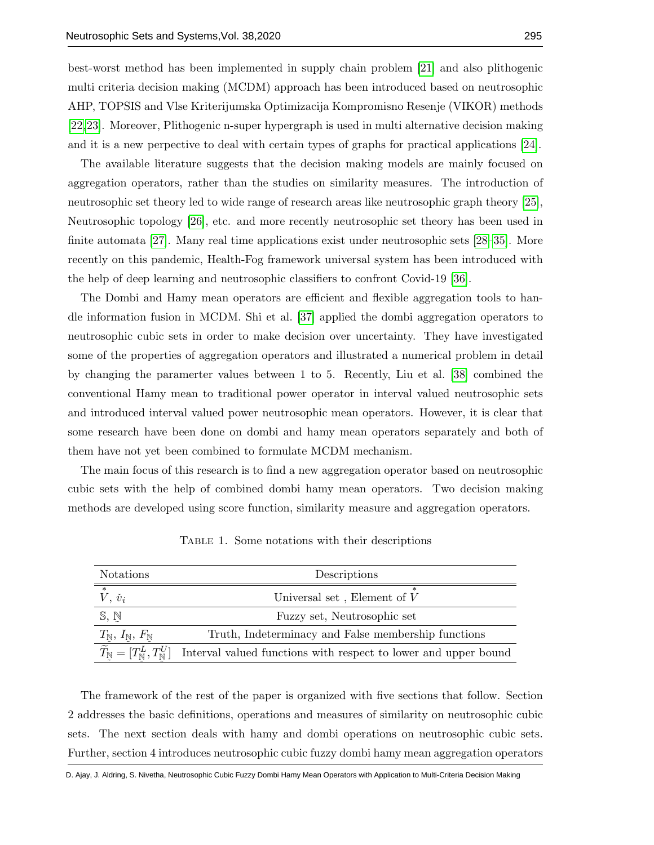best-worst method has been implemented in supply chain problem [\[21\]](#page-22-16) and also plithogenic multi criteria decision making (MCDM) approach has been introduced based on neutrosophic AHP, TOPSIS and Vlse Kriterijumska Optimizacija Kompromisno Resenje (VIKOR) methods [\[22,](#page-23-0)[23\]](#page-23-1). Moreover, Plithogenic n-super hypergraph is used in multi alternative decision making and it is a new perpective to deal with certain types of graphs for practical applications [\[24\]](#page-23-2).

The available literature suggests that the decision making models are mainly focused on aggregation operators, rather than the studies on similarity measures. The introduction of neutrosophic set theory led to wide range of research areas like neutrosophic graph theory [\[25\]](#page-23-3), Neutrosophic topology [\[26\]](#page-23-4), etc. and more recently neutrosophic set theory has been used in finite automata [\[27\]](#page-23-5). Many real time applications exist under neutrosophic sets [\[28–](#page-23-6)[35\]](#page-23-7). More recently on this pandemic, Health-Fog framework universal system has been introduced with the help of deep learning and neutrosophic classifiers to confront Covid-19 [\[36\]](#page-23-8).

The Dombi and Hamy mean operators are efficient and flexible aggregation tools to handle information fusion in MCDM. Shi et al. [\[37\]](#page-23-9) applied the dombi aggregation operators to neutrosophic cubic sets in order to make decision over uncertainty. They have investigated some of the properties of aggregation operators and illustrated a numerical problem in detail by changing the paramerter values between 1 to 5. Recently, Liu et al. [\[38\]](#page-23-10) combined the conventional Hamy mean to traditional power operator in interval valued neutrosophic sets and introduced interval valued power neutrosophic mean operators. However, it is clear that some research have been done on dombi and hamy mean operators separately and both of them have not yet been combined to formulate MCDM mechanism.

The main focus of this research is to find a new aggregation operator based on neutrosophic cubic sets with the help of combined dombi hamy mean operators. Two decision making methods are developed using score function, similarity measure and aggregation operators.

<span id="page-2-0"></span>

| <b>Notations</b>                             | Descriptions                                                                                                                                                                                                                                |  |  |
|----------------------------------------------|---------------------------------------------------------------------------------------------------------------------------------------------------------------------------------------------------------------------------------------------|--|--|
| $\overline{\phantom{0}}$<br>$V, \check{v}_i$ | $\ast$<br>Universal set , Element of $\boldsymbol{V}$                                                                                                                                                                                       |  |  |
| S, N                                         | Fuzzy set, Neutrosophic set                                                                                                                                                                                                                 |  |  |
|                                              | Truth, Indeterminacy and False membership functions                                                                                                                                                                                         |  |  |
|                                              | $T_{\mathbb{N}}, I_{\mathbb{N}}, F_{\mathbb{N}}$ Truth, Indeterminacy and False membership functions<br>$\widetilde{T}_{\mathbb{N}} = [T_{\mathbb{N}}^L, T_{\mathbb{N}}^U]$ Interval valued functions with respect to lower and upper bound |  |  |
|                                              |                                                                                                                                                                                                                                             |  |  |

Table 1. Some notations with their descriptions

The framework of the rest of the paper is organized with five sections that follow. Section 2 addresses the basic definitions, operations and measures of similarity on neutrosophic cubic sets. The next section deals with hamy and dombi operations on neutrosophic cubic sets. Further, section 4 introduces neutrosophic cubic fuzzy dombi hamy mean aggregation operators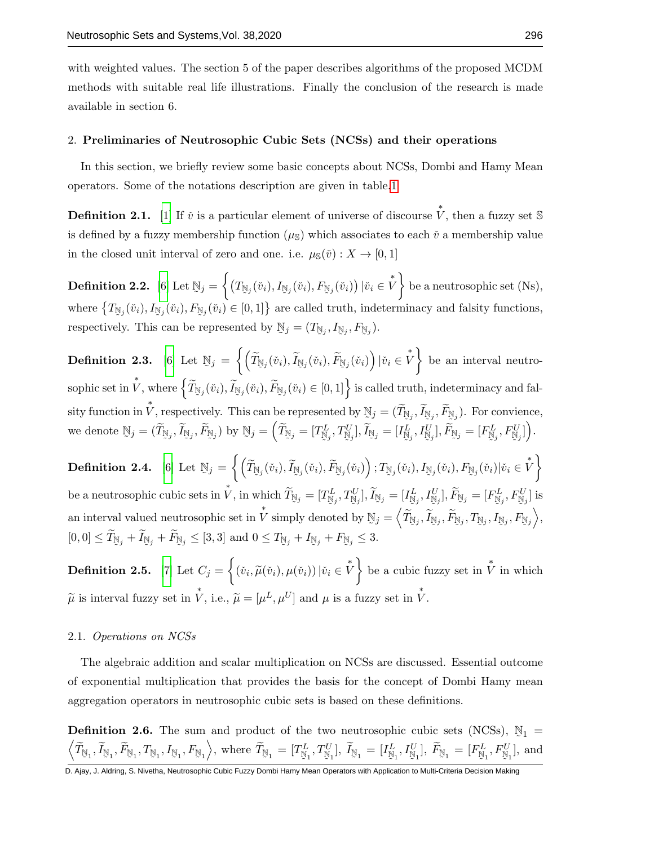with weighted values. The section 5 of the paper describes algorithms of the proposed MCDM methods with suitable real life illustrations. Finally the conclusion of the research is made available in section 6.

## 2. Preliminaries of Neutrosophic Cubic Sets (NCSs) and their operations

In this section, we briefly review some basic concepts about NCSs, Dombi and Hamy Mean operators. Some of the notations description are given in table[.1](#page-2-0)

**Definition 2.1.** [\[1\]](#page-21-0) If  $\check{v}$  is a particular element of universe of discourse  $\check{V}$ , then a fuzzy set S is defined by a fuzzy membership function  $(\mu_{\rm S})$  which associates to each  $\check{v}$  a membership value in the closed unit interval of zero and one. i.e.  $\mu_{\mathbb{S}}(\check{v}) : X \to [0,1]$ 

Definition 2.2. [\[6\]](#page-22-1) Let  $\mathbb{N}_j = \left\{ \left( T_{\mathbb{N}_j}(\v{v}_i), I_{\mathbb{N}_j}(\v{v}_i), F_{\mathbb{N}_j}(\v{v}_i) \right) | \v{v}_i \in \v{V} \right\}$  be a neutrosophic set (Ns), where  $\{T_{\mathbb{N}_j}(\tilde{v}_i), I_{\mathbb{N}_j}(\tilde{v}_i), F_{\mathbb{N}_j}(\tilde{v}_i) \in [0,1]\}$  are called truth, indeterminacy and falsity functions, respectively. This can be represented by  $\mathbb{N}_j = (T_{\mathbb{N}_j}, I_{\mathbb{N}_j}, F_{\mathbb{N}_j}).$ 

Definition 2.3. [\[6\]](#page-22-1) Let  $\mathbb{N}_j = \left\{\left(\widetilde{T}_{\mathbb{N}_j}(\v{v}_i), \widetilde{F}_{\mathbb{N}_j}(\v{v}_i), \widetilde{F}_{\mathbb{N}_j}(\v{v}_i)\right) | \v{v}_i \in \overset{*}{V}\right\}$  be an interval neutrosophic set in  $\mathring{V}$ , where  $\left\{ \widetilde{T}_{\mathbb{N}_j}(\check{v}_i), \widetilde{F}_{\mathbb{N}_j}(\check{v}_i), \widetilde{F}_{\mathbb{N}_j}(\check{v}_i) \in [0,1] \right\}$  is called truth, indeterminacy and falsity function in  $\check{V}$ , respectively. This can be represented by  $\mathbb{N}_j = (\widetilde{T}_{\mathbb{N}_j}, \widetilde{I}_{\mathbb{N}_j}, \widetilde{F}_{\mathbb{N}_j})$ . For convience, we denote  $\mathbb{N}_j = (\widetilde{T}_{\mathbb{N}_j}, \widetilde{I}_{\mathbb{N}_j}, \widetilde{F}_{\mathbb{N}_j})$  by  $\mathbb{N}_j = (\widetilde{T}_{\mathbb{N}_j} = [T_{\mathbb{N}_j}^L, T_{\mathbb{N}_j}^U], \widetilde{I}_{\mathbb{N}_j} = [I_{\mathbb{N}_j}^L, I_{\mathbb{N}_j}^U], \widetilde{F}_{\mathbb{N}_j}$  $\mathbb{N}_j = (\widetilde{T}_{\mathbb{N}_j}, \widetilde{I}_{\mathbb{N}_j}, \widetilde{F}_{\mathbb{N}_j})$  by  $\mathbb{N}_j = \left( \widetilde{T}_{\mathbb{N}_j} = [T^L_{\mathbb{N}_j}] \right)$  $T^L_{\mathbb{N}_j}, T^U_{\mathbb{N}_j}$  $[\mathbb{N}_j], \widetilde{I}_{\mathbb{N}_j} = [I^L_{\mathbb{N}_j}]$  $\frac{L}{N_j}, I^U_{\overline{N}_j}$  $[\mathbb{N}_j],\widetilde{F}_{\mathbb{N}_j}=[F^L_{\mathbb{N}_j}]$  $F_{\mathbb{N}_j}^L, F_{\mathbb{N}_j}^U$  $\begin{pmatrix} U \\ \mathbb{N}_j \end{pmatrix}$ .

Definition 2.4. [\[6\]](#page-22-1) Let  $\mathbb{N}_j = \left\{\left(\widetilde{T}_{\mathbb{N}_j}(\v{v}_i), \widetilde{F}_{\mathbb{N}_j}(\v{v}_i), \widetilde{F}_{\mathbb{N}_j}(\v{v}_i)\right); T_{\mathbb{N}_j}(\v{v}_i), I_{\mathbb{N}_j}(\v{v}_i), F_{\mathbb{N}_j}(\v{v}_i) | \v{v}_i \in \overset{*}{V}\right\}$ be a neutrosophic cubic sets in  $\tilde{V}$ , in which  $\widetilde{T}_{\mathbb{N}_j} = [T_{\mathbb{N}_j}^L, T_{\mathbb{N}_j}^U], \widetilde{I}_{\mathbb{N}_j} = [I_{\mathbb{N}_j}^L, I_{\mathbb{N}_j}^U], \widetilde{F}_{\mathbb{N}_j} = [F_{\mathbb{N}_j}^L, F_{\mathbb{N}_j}^U]$  is ˜ ˜ ˜ ˜ ˜ ˜ an interval valued neutrosophic set in  $\stackrel{*}{V}$  simply denoted by  $\mathbb{N}_j = \left\langle \widetilde{T}_{\mathbb{N}_j}, \widetilde{I}_{\mathbb{N}_j}, \widetilde{F}_{\mathbb{N}_j}, T_{\mathbb{N}_j}, I_{\mathbb{N}_j}, F_{\mathbb{N}_j} \right\rangle$  $[0,0] \leq T_{\mathbb{N}_j} + I_{\mathbb{N}_j} + F_{\mathbb{N}_j} \leq [3,3]$  and  $0 \leq T_{\mathbb{N}_j} + I_{\mathbb{N}_j} + F_{\mathbb{N}_j} \leq 3$ .

**Definition 2.5.** [\[7\]](#page-22-2) Let  $C_j = \left\{ (\check{v}_i, \widetilde{\mu}(\check{v}_i), \mu(\check{v}_i)) | \check{v}_i \in \overset{*}{V} \right\}$  be a cubic fuzzy set in  $\overset{*}{V}$  in which  $\tilde{\mu}$  is interval fuzzy set in  $\mathring{V}$ , i.e.,  $\tilde{\mu} = [\mu^L, \mu^U]$  and  $\mu$  is a fuzzy set in  $\mathring{V}$ .

#### 2.1. Operations on NCSs

The algebraic addition and scalar multiplication on NCSs are discussed. Essential outcome of exponential multiplication that provides the basis for the concept of Dombi Hamy mean aggregation operators in neutrosophic cubic sets is based on these definitions.

**Definition 2.6.** The sum and product of the two neutrosophic cubic sets (NCSs),  $\mathbb{N}_1$  =  $\left\langle \widetilde{T}_{\mathbb{N}_{1}}, \widetilde{I}_{\mathbb{N}_{1}}, \widetilde{F}_{\mathbb{N}_{1}}, T_{\mathbb{N}_{1}}, F_{\mathbb{N}_{1}} \right\rangle$ , where  $\widetilde{T}_{\mathbb{N}_{1}} = [T_{\mathbb{N}_{1}}^{L}, T_{\mathbb{N}_{1}}^{U}], \widetilde{I}_{\mathbb{N}_{1}} = [I_{\mathbb{N}_{1}}^{L}, I_{\mathbb{N}_{1}}^{U}], \widetilde{F}_{\mathbb{N}_{1}} = [F_{\mathbb{N}_{1}}^{L}, F_{\mathbb{N}_{1}}^{U}],$  $T_{\mathbb{N}_1}^L, T_{\mathbb{N}_1}^U$  $\tilde{I}_{\mathbb{N}_1}^{U}$ ],  $\tilde{I}_{\mathbb{N}_1} = [I_{\mathbb{N}_1}^{L}]$  $I^L_{\mathbb{N}_1}, I^U_{\mathbb{N}_1}$  $\begin{bmatrix} U \\ \mathbb{N}_1 \end{bmatrix}$ ,  $\widetilde{F}_{\mathbb{N}_1} = [F_{\mathbb{N}_1}^L]$  $F_{\mathbb{N}_{1}}^{L}, F_{\mathbb{N}_{1}}^{U}$  $\mathbb{N}_{1}^{U}$ , and

D. Ajay, J. Aldring, S. Nivetha, Neutrosophic Cubic Fuzzy Dombi Hamy Mean Operators with Application to Multi-Criteria Decision Making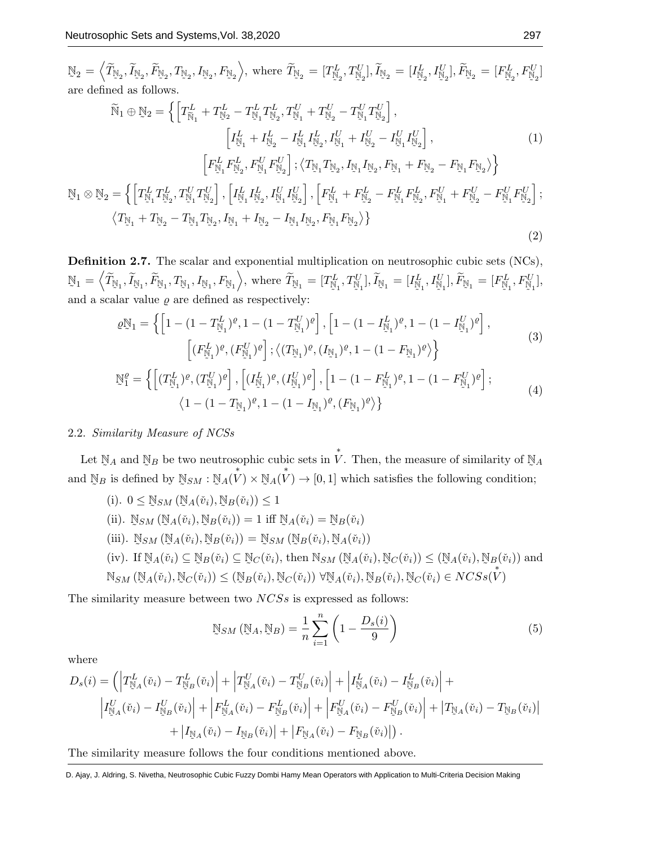$\mathbb{N}_2=\left\langle \widetilde{T}_{\mathbb{N}_2}, \widetilde{I}_{\mathbb{N}_2}, \widetilde{F}_{\mathbb{N}_2}, T_{\mathbb{N}_2}, I_{\mathbb{N}_2}, F_{\mathbb{N}_2} \right\rangle$ , where  $\widetilde{T}_{\mathbb{N}_2}=[T^L_{\mathbb{N}_2}]$  $T_{\mathbb{N}_2}^L, T_{\mathbb{N}_2}^U$  $[\mathbb{N}_2^U], \widetilde{I}_{\mathbb{N}_2} = [I_{\mathbb{N}_2}^L]$  $\frac{L}{N_2}, I^U_{\mathbb{N}_2}$  $[\mathbb{F}_{\mathbb{N}_2}^U], \widetilde{F}_{\mathbb{N}_2} = [F_{\mathbb{N}_2}^L]$  $F^L_{\mathbb{N}_2}$ ,  $F^U_{\mathbb{N}_2}$  $\begin{bmatrix} 0 \\ \mathbb{N}_2 \end{bmatrix}$ are defined as follows.

$$
\widetilde{N}_{1} \oplus \mathbb{N}_{2} = \left\{ \left[ T_{\widetilde{N}_{1}}^{L} + T_{\mathbb{N}_{2}}^{L} - T_{\mathbb{N}_{1}}^{L} T_{\mathbb{N}_{2}}^{L}, T_{\mathbb{N}_{1}}^{U} + T_{\mathbb{N}_{2}}^{U} - T_{\mathbb{N}_{1}}^{U} T_{\mathbb{N}_{2}}^{U} \right], \right. \\
\left. \left[ T_{\mathbb{N}_{1}}^{L} + I_{\mathbb{N}_{2}}^{L} - I_{\mathbb{N}_{1}}^{L} I_{\mathbb{N}_{2}}^{L}, I_{\mathbb{N}_{1}}^{U} + I_{\mathbb{N}_{2}}^{U} - I_{\mathbb{N}_{1}}^{U} I_{\mathbb{N}_{2}}^{U} \right], \right. \\
\left. \left[ F_{\mathbb{N}_{1}}^{L} F_{\mathbb{N}_{2}}^{L}, F_{\mathbb{N}_{1}}^{U} F_{\mathbb{N}_{2}}^{U} \right]; \left\langle T_{\mathbb{N}_{1}} T_{\mathbb{N}_{2}}, I_{\mathbb{N}_{1}} I_{\mathbb{N}_{2}}^{L}, F_{\mathbb{N}_{1}} + F_{\mathbb{N}_{2}} - F_{\mathbb{N}_{1}} F_{\mathbb{N}_{2}} \right\rangle \right\}
$$
\n
$$
\mathbb{N}_{1} \otimes \mathbb{N}_{2} = \left\{ \left[ T_{\mathbb{N}_{1}}^{L} T_{\mathbb{N}_{2}}^{L}, T_{\mathbb{N}_{1}}^{U} T_{\mathbb{N}_{2}}^{U} \right], \left[ I_{\mathbb{N}_{1}}^{L} I_{\mathbb{N}_{2}}^{L}, I_{\mathbb{N}_{1}}^{U} I_{\mathbb{N}_{2}}^{U} \right], \left[ F_{\mathbb{N}_{1}}^{L} + F_{\mathbb{N}_{2}}^{L} - F_{\mathbb{N}_{1}}^{L} F_{\mathbb{N}_{2}}^{L}, F_{\mathbb{N}_{1}}^{U} + F_{\mathbb{N}_{2}}^{U} - F_{\mathbb{N}_{1}}^{U} F_{\mathbb{N}_{2}}^{U} \right]; \left. \left\langle T_{\mathbb{N}_{1}} + T_{\mathbb{N}_{2}} - T_{\mathbb{N}_{1}} T_{\mathbb{N}_{2}}, I_{\mathbb{N}_{1}} + I_{\mathbb{N}_{2}} - I_{\math
$$

Definition 2.7. The scalar and exponential multiplication on neutrosophic cubic sets (NCs),  $\mathbb{N}_1 = \left\langle \widetilde{T}_{\mathbb{N}_1}, \widetilde{I}_{\mathbb{N}_1}, \widetilde{F}_{\mathbb{N}_1}, T_{\mathbb{N}_1}, I_{\mathbb{N}_1}, F_{\mathbb{N}_1} \right\rangle$ , where  $\widetilde{T}_{\mathbb{N}_1} = [T_{\mathbb{N}_1}^L$  $T_{\mathbb{N}_{1}}^{L}, T_{\mathbb{N}_{1}}^{U}$  $[\mathbb{N}_1^U], \widetilde{I}_{\mathbb{N}_1} = [I_{\mathbb{N}}^L]$  $\frac{L}{N_1}, I^U_{\mathbb{N}}$  $[\mathbb{F}_{\mathbb{N}_{1}}^{U}],\widetilde{F}_{\mathbb{N}_{1}}=[F_{\mathbb{N}_{1}}^{L}]$  $F_{\mathbb{N}_{1}}^{L}, F_{\mathbb{N}_{1}}^{U}$  $\frac{1}{\mathbb{N}_1},$ and a scalar value  $\rho$  are defined as respectively:

$$
\varrho_{\mathcal{N}_1}^{\mathcal{N}} = \left\{ \left[ 1 - (1 - T_{\mathcal{N}_1}^L)^{\varrho}, 1 - (1 - T_{\mathcal{N}_1}^U)^{\varrho} \right], \left[ 1 - (1 - I_{\mathcal{N}_1}^L)^{\varrho}, 1 - (1 - I_{\mathcal{N}_1}^U)^{\varrho} \right], \left[ (F_{\mathcal{N}_1}^L)^{\varrho}, (F_{\mathcal{N}_1}^U)^{\varrho} \right]; \left\langle (T_{\mathcal{N}_1}^U)^{\varrho}, (I_{\mathcal{N}_1})^{\varrho}, 1 - (1 - F_{\mathcal{N}_1})^{\varrho} \right\rangle \right\}
$$
\n
$$
\tilde{\mathcal{N}}_1^{\varrho} = \left\{ \left[ (T_{\mathcal{N}_1}^L)^{\varrho}, (T_{\mathcal{N}_1}^U)^{\varrho} \right], \left[ (I_{\mathcal{N}_1}^L)^{\varrho}, (I_{\mathcal{N}_1}^U)^{\varrho} \right], \left[ 1 - (1 - F_{\mathcal{N}_1}^L)^{\varrho}, 1 - (1 - F_{\mathcal{N}_1}^U)^{\varrho} \right]; \left( 4 \right) \right\}
$$
\n
$$
\left\langle 1 - (1 - T_{\mathcal{N}_1})^{\varrho}, 1 - (1 - I_{\mathcal{N}_1})^{\varrho}, (F_{\mathcal{N}_1})^{\varrho} \right\rangle \right\}
$$
\n(4)

# 2.2. Similarity Measure of NCSs

Let  $\mathbb{N}_A$  and  $\mathbb{N}_B$  be two neutrosophic cubic sets in  $\overset{*}{V}$ . Then, the measure of similarity of  $\mathbb{N}_A$  $\frac{1}{\sqrt{2}}$  and  $\frac{1}{\sqrt{2}}$  and  $\frac{1}{\sqrt{2}}$  . The set of  $\frac{1}{\sqrt{2}}$  is the set of  $\frac{1}{\sqrt{2}}$  . The set of  $\frac{1}{\sqrt{2}}$  is the set of  $\frac{1}{\sqrt{2}}$  . The set of  $\frac{1}{\sqrt{2}}$  is the set of  $\frac{1}{\sqrt{2}}$  . In the set of and  $\mathbb{N}_B$  is defined by  $\mathbb{N}_{SM} : \mathbb{N}_A(\overset{*}{V}) \times$  $\mathbb{N}_A(\overset{*}{V}) \to [0,1]$  which satisfies the following condition;

\n- (i). 
$$
0 \leq \mathbb{N}_{SM}(\mathbb{N}_A(\check{v}_i), \mathbb{N}_B(\check{v}_i)) \leq 1
$$
\n- (ii).  $\mathbb{N}_{SM}(\mathbb{N}_A(\check{v}_i), \mathbb{N}_B(\check{v}_i)) = 1$  iff  $\mathbb{N}_A(\check{v}_i) = \mathbb{N}_B(\check{v}_i)$
\n- (iii).  $\mathbb{N}_{SM}(\mathbb{N}_A(\check{v}_i), \mathbb{N}_B(\check{v}_i)) = \mathbb{N}_{SM}(\mathbb{N}_B(\check{v}_i), \mathbb{N}_A(\check{v}_i))$
\n- (iv). If  $\mathbb{N}_A(\check{v}_i) \subseteq \mathbb{N}_B(\check{v}_i) \subseteq \mathbb{N}_C(\check{v}_i)$ , then  $\mathbb{N}_{SM}(\mathbb{N}_A(\check{v}_i), \mathbb{N}_C(\check{v}_i)) \leq (\mathbb{N}_A(\check{v}_i), \mathbb{N}_B(\check{v}_i))$  and  $\mathbb{N}_{SM}(\mathbb{N}_A(\check{v}_i), \mathbb{N}_C(\check{v}_i)) \leq (\mathbb{N}_B(\check{v}_i), \mathbb{N}_C(\check{v}_i)) \ \forall \mathbb{N}_A(\check{v}_i), \mathbb{N}_B(\check{v}_i), \mathbb{N}_C(\check{v}_i) \in NCS(s(\check{V}))$
\n

The similarity measure between two  $NCSs$  is expressed as follows:

<span id="page-4-0"></span>
$$
\mathbb{N}_{SM} \left( \mathbb{N}_A, \mathbb{N}_B \right) = \frac{1}{n} \sum_{i=1}^n \left( 1 - \frac{D_s(i)}{9} \right) \tag{5}
$$

where

$$
D_{s}(i) = \left( \left| T_{\mathbb{N}_{A}}^{L}(\check{v}_{i}) - T_{\mathbb{N}_{B}}^{L}(\check{v}_{i}) \right| + \left| T_{\mathbb{N}_{A}}^{U}(\check{v}_{i}) - T_{\mathbb{N}_{B}}^{U}(\check{v}_{i}) \right| + \left| I_{\mathbb{N}_{A}}^{L}(\check{v}_{i}) - I_{\mathbb{N}_{B}}^{L}(\check{v}_{i}) \right| + \left| I_{\mathbb{N}_{A}}^{L}(\check{v}_{i}) - I_{\mathbb{N}_{B}}^{U}(\check{v}_{i}) \right| + \left| F_{\mathbb{N}_{A}}^{L}(\check{v}_{i}) - F_{\mathbb{N}_{B}}^{L}(\check{v}_{i}) \right| + \left| F_{\mathbb{N}_{A}}^{U}(\check{v}_{i}) - F_{\mathbb{N}_{B}}^{U}(\check{v}_{i}) \right| + \left| T_{\mathbb{N}_{A}}(\check{v}_{i}) - T_{\mathbb{N}_{B}}(\check{v}_{i}) \right| + \left| I_{\mathbb{N}_{A}}(\check{v}_{i}) - I_{\mathbb{N}_{B}}(\check{v}_{i}) \right| + \left| F_{\mathbb{N}_{A}}(\check{v}_{i}) - F_{\mathbb{N}_{B}}(\check{v}_{i}) \right| \right).
$$

The similarity measure follows the four conditions mentioned above.

D. Ajay, J. Aldring, S. Nivetha, Neutrosophic Cubic Fuzzy Dombi Hamy Mean Operators with Application to Multi-Criteria Decision Making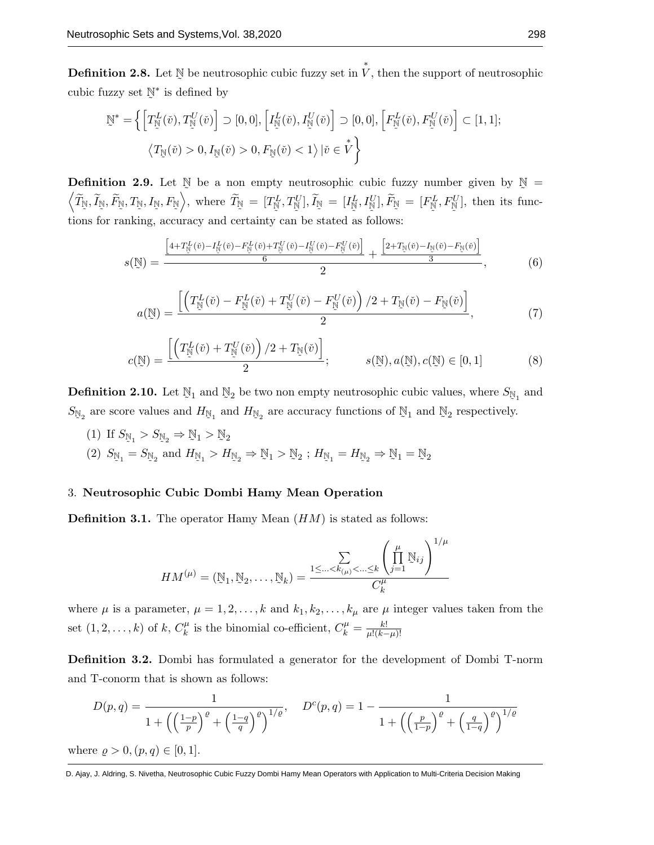Definition 2.8. Let ˜  $\mathbb N$  be neutrosophic cubic fuzzy set in  $\overset{*}{V},$  then the support of neutrosophic cubic fuzzy set  $\mathbb{N}^*$  is defined by ˜

$$
\begin{aligned} \n\tilde{\mathbb{N}}^* &= \left\{ \left[ T^L_{\tilde{\mathbb{N}}}(\tilde{v}), T^U_{\tilde{\mathbb{N}}}(\tilde{v}) \right] \supset [0,0], \left[ I^L_{\tilde{\mathbb{N}}}(\tilde{v}), I^U_{\tilde{\mathbb{N}}}(\tilde{v}) \right] \supset [0,0], \left[ F^L_{\tilde{\mathbb{N}}}(\tilde{v}), F^U_{\tilde{\mathbb{N}}}(\tilde{v}) \right] \subset [1,1]; \\ \n\langle T_{\tilde{\mathbb{N}}}(\tilde{v}) > 0, I_{\tilde{\mathbb{N}}}(\tilde{v}) > 0, F_{\tilde{\mathbb{N}}}(\tilde{v}) < 1 \rangle \left| \tilde{v} \in V \right. \right\} \n\end{aligned}
$$

**Definition 2.9.** Let  $\mathbb{N}$  be a non empty neutrosophic cubic fuzzy number given by  $\mathbb{N}$  =  $\left\langle \widetilde{T}_{\mathbb{N}}, \widetilde{I}_{\mathbb{N}}, \widetilde{F}_{\mathbb{N}}, T_{\mathbb{N}}, I_{\mathbb{N}}, F_{\mathbb{N}} \right\rangle$ , where  $\widetilde{T}_{\mathbb{N}} = [T_{\mathbb{N}}^L, T_{\mathbb{N}}^U], \widetilde{I}_{\mathbb{N}} = [I_{\mathbb{N}}^L, I_{\mathbb{N}}^U], \widetilde{F}_{\mathbb{N}} = [F_{\mathbb{N}}^L, F_{\mathbb{N}}^U],$  then its fu  $\mathbb{E}_{\mathbb{N}}\Big$ , where  $\widetilde{T}_{\mathbb{N}} = [T_{\mathbb{N}}^{L}]$  $\tilde{\phantom{a}}$  $T_{\mathbb{N}}^{L},T_{\mathbb{N}}^{U}$  $\tilde{\phantom{a}}$  $[\mathcal{I}^U_{\mathbb{N}}], \widetilde{I}_{\mathbb{N}} = [I^L_{\mathbb{N}}]$  $\tilde{\phantom{a}}$  $_{\mathbb{N}}^{L},I_{\mathbb{N}}^{U}$ ˜  $\left[ \begin{smallmatrix} U \ \mathbb{N} \end{smallmatrix} \right], \widetilde{F}_{\mathbb{N}} \ = \ \left[ F_{\mathbb{N}}^{L} \right]$  $\tilde{\phantom{a}}$  $F_{\mathbb N}^L, F_{\mathbb N}^U$  $\tilde{\phantom{a}}$  $\mathbb{N}^{U}$ , then its functions for ranking, accuracy and certainty can be stated as follows:

<span id="page-5-0"></span>
$$
s(\mathbb{N}) = \frac{\left[4 + T_{\mathbb{N}}^{L}(\tilde{v}) - I_{\mathbb{N}}^{L}(\tilde{v}) + T_{\mathbb{N}}^{U}(\tilde{v}) - I_{\mathbb{N}}^{U}(\tilde{v}) - I_{\mathbb{N}}^{U}(\tilde{v})\right]}{6} + \frac{\left[2 + T_{\mathbb{N}}(\tilde{v}) - I_{\mathbb{N}}(\tilde{v}) - I_{\mathbb{N}}(\tilde{v})\right]}{3},\tag{6}
$$

$$
a(\mathbb{N}) = \frac{\left[ \left( T_{\mathbb{N}}^{L}(\check{v}) - F_{\mathbb{N}}^{L}(\check{v}) + T_{\mathbb{N}}^{U}(\check{v}) - F_{\mathbb{N}}^{U}(\check{v}) \right) / 2 + T_{\mathbb{N}}(\check{v}) - F_{\mathbb{N}}(\check{v}) \right]}{2},\tag{7}
$$

$$
c(\mathbb{N}) = \frac{\left[ \left( T_{\mathbb{N}}^{L}(\check{v}) + T_{\mathbb{N}}^{U}(\check{v}) \right) / 2 + T_{\mathbb{N}}(\check{v}) \right]}{2}; \qquad s(\mathbb{N}), a(\mathbb{N}), c(\mathbb{N}) \in [0, 1]
$$
(8)

Definition 2.10. Let  $\mathbb{N}_1$  and  $\mathbb{N}_2$  be two non empty neutrosophic cubic values, where  $S_{\mathbb{N}_1}$  and  $S_{\mathbb{N}_2}$  are score values and  $H_{\mathbb{N}_1}$  and  $H_{\mathbb{N}_2}$  are accuracy functions of  $\mathbb{N}_1$  and  $\mathbb{N}_2$  respectively  $\mathbb{N}_1$  and  $\mathbb{N}_2$  respectively.

(1) If  $S_{\mathbb{N}_1} > S_{\mathbb{N}_2} \Rightarrow \mathbb{N}_1 > \mathbb{N}_2$  $\mathbb{Z}_1$   $\mathbb{Z}_2$   $\mathbb{Z}_1$   $\mathbb{Z}_2$   $\mathbb{Z}_2$ (2)  $S_{\mathbb{N}_1} = S_{\mathbb{N}_2}$  and  $H_{\mathbb{N}_1} > H_{\mathbb{N}_2} \Rightarrow \mathbb{N}_1 > \mathbb{N}_2$  ;  $H_{\mathbb{N}_1} = H_{\mathbb{N}_2} \Rightarrow \mathbb{N}_1 = \mathbb{N}_2$ 

## 3. Neutrosophic Cubic Dombi Hamy Mean Operation

**Definition 3.1.** The operator Hamy Mean  $(HM)$  is stated as follows:

$$
HM^{(\mu)} = (\mathbb{N}_1, \mathbb{N}_2, \dots, \mathbb{N}_k) = \frac{\sum\limits_{1 \leq \dots < k_{(\mu)} < \dots \leq k} \left(\prod_{j=1}^{\mu} \mathbb{N}_{ij}\right)^{1/\mu}}{C_k^{\mu}}
$$

where  $\mu$  is a parameter,  $\mu = 1, 2, \ldots, k$  and  $k_1, k_2, \ldots, k_{\mu}$  are  $\mu$  integer values taken from the set  $(1, 2, ..., k)$  of k,  $C_k^{\mu}$  $\mu_k^{\mu}$  is the binomial co-efficient,  $C_k^{\mu} = \frac{k!}{\mu!(k-1)!}$  $\mu!(k-\mu)!$ 

Definition 3.2. Dombi has formulated a generator for the development of Dombi T-norm and T-conorm that is shown as follows:

$$
D(p,q) = \frac{1}{1 + \left(\left(\frac{1-p}{p}\right)^{\varrho} + \left(\frac{1-q}{q}\right)^{\varrho}\right)^{1/\varrho}}, \quad D^{c}(p,q) = 1 - \frac{1}{1 + \left(\left(\frac{p}{1-p}\right)^{\varrho} + \left(\frac{q}{1-q}\right)^{\varrho}\right)^{1/\varrho}}
$$

where  $\rho > 0$ ,  $(p, q) \in [0, 1]$ .

D. Ajay, J. Aldring, S. Nivetha, Neutrosophic Cubic Fuzzy Dombi Hamy Mean Operators with Application to Multi-Criteria Decision Making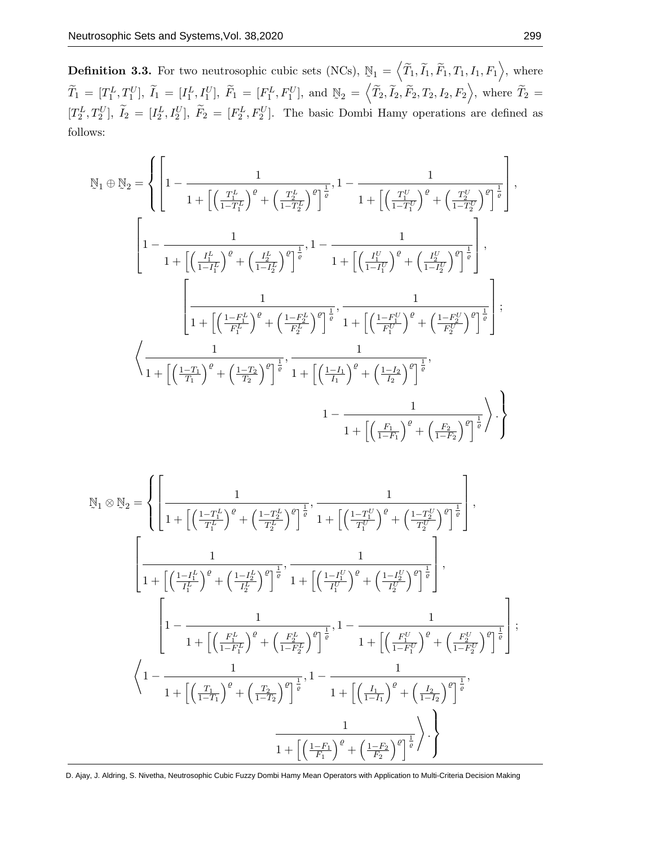Definition 3.3. For two neutrosophic cubic sets (NCs),  $\mathbb{N}_1 = \langle \widetilde{T}_1, \widetilde{I}_1, \widetilde{F}_1, T_1, I_1, F_1 \rangle$ , where  $\widetilde{T}_1 = [T_1^L, T_1^U], \widetilde{I}_1 = [I_1^L, I_1^U], \widetilde{F}_1 = [F_1^L, F_1^U], \text{ and}$  $\mathbb{N}_2 = \left\langle \widetilde{T}_2, \widetilde{I}_2, \widetilde{F}_2, T_2, I_2, F_2 \right\rangle$ , where  $\widetilde{T}_2 =$  $[T_2^L, T_2^U], \tilde{I}_2 = [I_2^L, I_2^U], \tilde{F}_2 = [F_2^L, F_2^U].$  The basic Dombi Hamy operations are defined as follows:

$$
\mathbb{N}_{1} \oplus \mathbb{N}_{2} = \left\{ \left[ 1 - \frac{1}{1 + \left[ \left( \frac{T_{1}^{L}}{1 - T_{1}^{L}} \right)^{\varrho} + \left( \frac{T_{2}^{L}}{1 - T_{2}^{L}} \right)^{\varrho} \right]^{\frac{1}{\varrho}}, 1 - \frac{1}{1 + \left[ \left( \frac{T_{1}^{U}}{1 - T_{1}^{U}} \right)^{\varrho} + \left( \frac{T_{2}^{U}}{1 - T_{2}^{U}} \right)^{\varrho} \right]^{\frac{1}{\varrho}} \right] \right\}
$$
\n
$$
\left[ 1 - \frac{1}{1 + \left[ \left( \frac{I_{1}^{L}}{1 - I_{1}^{L}} \right)^{\varrho} + \left( \frac{I_{2}^{L}}{1 - I_{2}^{L}} \right)^{\varrho} \right]^{\frac{1}{\varrho}}}, 1 - \frac{1}{1 + \left[ \left( \frac{I_{1}^{U}}{1 - I_{1}^{U}} \right)^{\varrho} + \left( \frac{I_{2}^{U}}{1 - I_{2}^{U}} \right)^{\varrho} \right]^{\frac{1}{\varrho}} \right]},
$$
\n
$$
\left[ \frac{1}{1 + \left[ \left( \frac{1 - F_{1}^{L}}{F_{1}^{L}} \right)^{\varrho} + \left( \frac{1 - F_{2}^{L}}{F_{2}^{L}} \right)^{\varrho} \right]^{\frac{1}{\varrho}}}, \frac{1}{1 + \left[ \left( \frac{1 - F_{1}^{U}}{F_{1}^{U}} \right)^{\varrho} + \left( \frac{1 - F_{2}^{U}}{F_{2}^{U}} \right)^{\varrho} \right]^{\frac{1}{\varrho}} \right];
$$
\n
$$
\left\langle \frac{1}{1 + \left[ \left( \frac{1 - T_{1}}{T_{1}} \right)^{\varrho} + \left( \frac{1 - T_{2}}{T_{2}} \right)^{\varrho} \right]^{\frac{1}{\varrho}}}, \frac{1}{1 + \left[ \left( \frac{1 - I_{1}}{I_{1}} \right)^{\varrho} + \left( \frac{1 - I_{2}}{I_{2}} \right)^{\varrho} \right]^{\frac{1}{\varrho}}},
$$
\n
$$
1 - \frac{1}{1 + \left[ \left( \frac{F_{1}}
$$

$$
\mathbb{N}_{1} \otimes \mathbb{N}_{2} = \left\{ \left[ \frac{1}{1 + \left[ \left( \frac{1 - T_{1}^{L}}{T_{1}^{L}} \right)^{\varrho} + \left( \frac{1 - T_{2}^{L}}{T_{2}^{L}} \right)^{\varrho} \right]^{\frac{1}{\varrho}}}, \frac{1}{1 + \left[ \left( \frac{1 - T_{1}^{U}}{T_{1}^{U}} \right)^{\varrho} + \left( \frac{1 - T_{2}^{U}}{T_{2}^{U}} \right)^{\varrho} \right]^{\frac{1}{\varrho}}}, \right. \\ \left. \left[ \frac{1}{1 + \left[ \left( \frac{1 - I_{1}^{L}}{T_{1}^{L}} \right)^{\varrho} + \left( \frac{1 - I_{2}^{L}}{I_{2}^{L}} \right)^{\varrho} \right]^{\frac{1}{\varrho}}}, \frac{1}{1 + \left[ \left( \frac{1 - I_{1}^{U}}{T_{1}^{U}} \right)^{\varrho} + \left( \frac{1 - I_{2}^{U}}{I_{2}^{U}} \right)^{\varrho} \right]^{\frac{1}{\varrho}}}, \right. \\ \left. \left[ 1 - \frac{1}{1 + \left[ \left( \frac{F_{1}^{L}}{1 - F_{1}^{L}} \right)^{\varrho} + \left( \frac{F_{2}^{L}}{1 - F_{2}^{L}} \right)^{\varrho} \right]^{\frac{1}{\varrho}}}, 1 - \frac{1}{1 + \left[ \left( \frac{F_{1}^{U}}{1 - F_{1}^{U}} \right)^{\varrho} + \left( \frac{F_{2}^{U}}{1 - F_{2}^{U}} \right)^{\varrho} \right]^{\frac{1}{\varrho}}}, \right. \\ \left. \left\langle 1 - \frac{1}{1 + \left[ \left( \frac{T_{1}}{1 - T_{1}} \right)^{\varrho} + \left( \frac{T_{2}}{1 - T_{2}} \right)^{\varrho} \right]^{\frac{1}{\varrho}}}, 1 - \frac{1}{1 + \left[ \left( \frac{I_{1}}{1 - I_{1}} \right)^{\varrho} + \left( \frac{I_{2}}{1 - I_{2}} \right)^{\varrho} \right]^{\frac{1}{\varrho}}}, \frac{1}{1 + \left[ \left( \frac{I_{1}}{1 - I_{1}} \right)^{\varrho} + \left( \frac{I_{2
$$

D. Ajay, J. Aldring, S. Nivetha, Neutrosophic Cubic Fuzzy Dombi Hamy Mean Operators with Application to Multi-Criteria Decision Making

,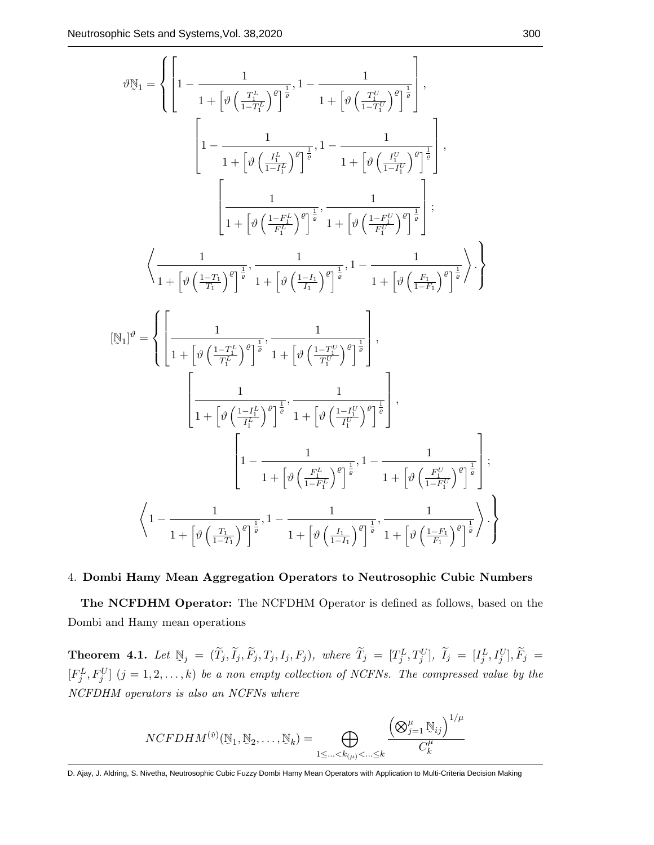$$
\vartheta \mathbb{N}_{1} = \left\{ \left[ 1 - \frac{1}{1 + \left[ \vartheta \left( \frac{T_{L}^{L}}{1 - T_{L}^{L}} \right)^{\vartheta} \right]^{\frac{1}{\vartheta}}, 1 - \frac{1}{1 + \left[ \vartheta \left( \frac{T_{L}^{U}}{1 - T_{L}^{U}} \right)^{\vartheta} \right]^{\frac{1}{\vartheta}} \right], \right. \\ \left. \left. \left[ 1 - \frac{1}{1 + \left[ \vartheta \left( \frac{I_{L}^{L}}{1 - I_{L}^{L}} \right)^{\vartheta} \right]^{\frac{1}{\vartheta}}}, 1 - \frac{1}{1 + \left[ \vartheta \left( \frac{I_{L}^{V}}{1 - I_{L}^{U}} \right)^{\vartheta} \right]^{\frac{1}{\vartheta}} \right], \right. \\ \left. \left. \left. \left[ \frac{1}{1 + \left[ \vartheta \left( \frac{1 - F_{L}^{L}}{F_{L}^{L}} \right)^{\vartheta} \right]^{\frac{1}{\vartheta}}}, \frac{1}{1 + \left[ \vartheta \left( \frac{1 - F_{L}^{U}}{F_{L}^{U}} \right)^{\vartheta} \right]^{\frac{1}{\vartheta}} \right]^{\frac{1}{\vartheta}} \right\}, \right. \\ \left. \left\langle \frac{1}{1 + \left[ \vartheta \left( \frac{1 - T_{L}}{T_{1}} \right)^{\vartheta} \right]^{\frac{1}{\vartheta}}}, \frac{1}{1 + \left[ \vartheta \left( \frac{1 - I_{L}}{T_{1}} \right)^{\vartheta} \right]^{\frac{1}{\vartheta}}}, 1 - \frac{1}{1 + \left[ \vartheta \left( \frac{F_{1}}{1 - F_{1}} \right)^{\vartheta} \right]^{\frac{1}{\vartheta}} \right\} \right\} \right\}
$$
  
\n
$$
\left[ \mathbb{N}_{1} \right]^{\vartheta} = \left\{ \left[ \frac{1}{1 + \left[ \vartheta \left( \frac{1 - T_{L}^{L}}{T_{L}^{L}} \right)^{\vartheta} \right]^{\frac{1}{\vartheta}}}, \frac{1}{1 + \left[ \vartheta \left( \frac{1 - T_{L}^{U}}{T_{L}^{U}} \right)^{\vartheta} \right]^{\frac{1}{\vartheta}} \right], \right. \\ \left. \left. \left[ \frac{1}{1 + \left[
$$

#### 4. Dombi Hamy Mean Aggregation Operators to Neutrosophic Cubic Numbers

The NCFDHM Operator: The NCFDHM Operator is defined as follows, based on the Dombi and Hamy mean operations

Theorem 4.1. Let  $\mathbb{N}_j = (\tilde{T}_j, \tilde{I}_j, \tilde{F}_j, T_j, I_j, F_j)$ , where  $\tilde{T}_j = [T_j^L, T_j^U]$ ,  $\tilde{I}_j = [I_j^L, I_j^U]$ ,  $\tilde{F}_j =$  $[F_j^L, F_j^U]$   $(j = 1, 2, ..., k)$  be a non empty collection of NCFNs. The compressed value by the NCFDHM operators is also an NCFNs where

$$
NCFDHM^{(\check{v})}(\mathbb{N}_1, \mathbb{N}_2, \dots, \mathbb{N}_k) = \bigoplus_{1 \leq \dots < k_{(\mu)} < \dots \leq k} \frac{\left(\bigotimes_{j=1}^{\mu} \mathbb{N}_{ij}\right)^{1/\mu}}{C_k^{\mu}}
$$

D. Ajay, J. Aldring, S. Nivetha, Neutrosophic Cubic Fuzzy Dombi Hamy Mean Operators with Application to Multi-Criteria Decision Making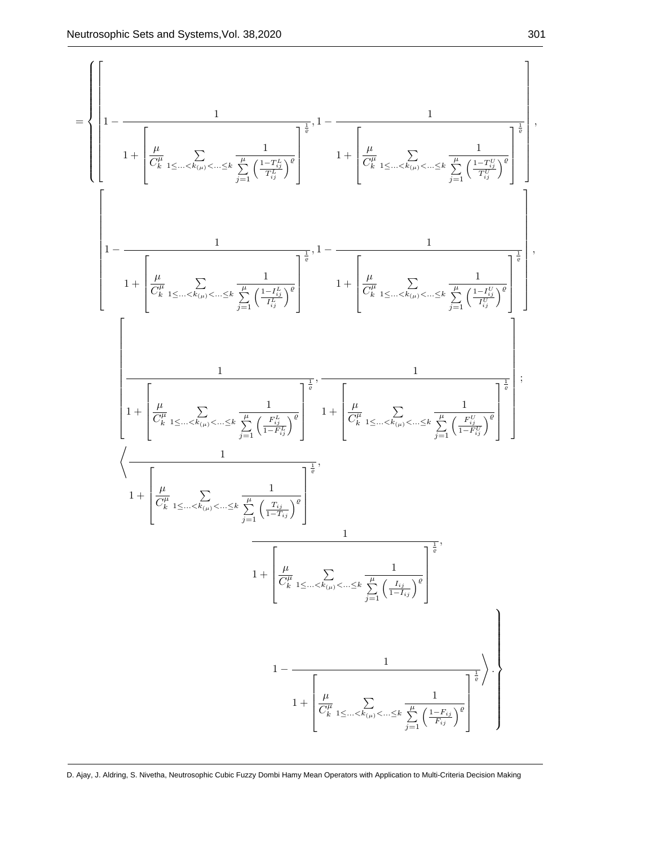

D. Ajay, J. Aldring, S. Nivetha, Neutrosophic Cubic Fuzzy Dombi Hamy Mean Operators with Application to Multi-Criteria Decision Making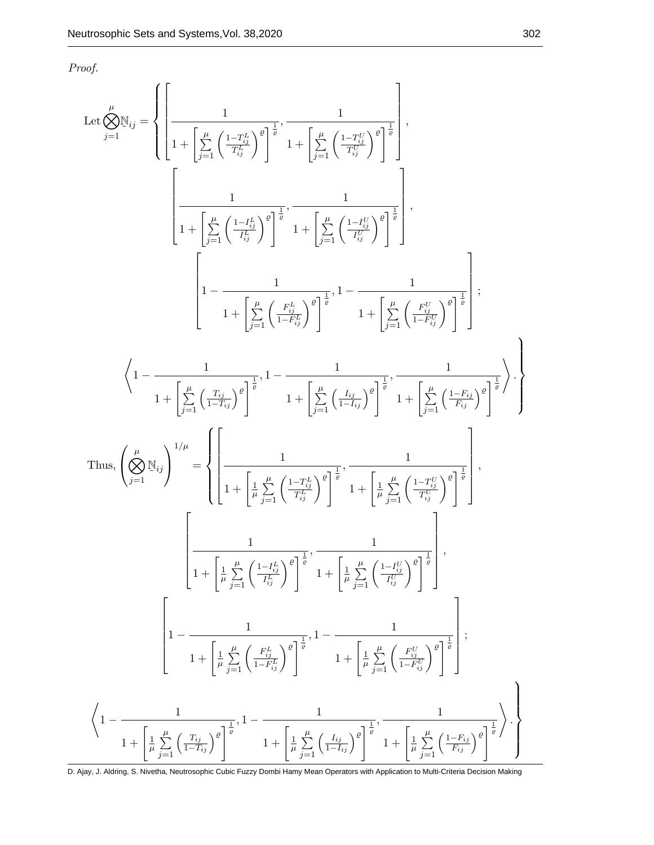Proof.

$$
\begin{split} \text{Let} \bigotimes_{j=1}^{ \mu} \mathbb{N}_{ij} &= \left\{\left[\frac{1}{1+\left[\sum\limits_{j=1}^{\mu}\left(\frac{1-T_{ij}^L}{T_{ij}^L}\right)^{\theta}\right]^{\frac{1}{\theta}}\right] \cdot \frac{1}{1+\left[\sum\limits_{j=1}^{\mu}\left(\frac{1-T_{ij}^L}{T_{ij}^L}\right)^{\theta}\right]^{\frac{1}{\theta}}}\right], \\ &\left[\frac{1}{1+\left[\sum\limits_{j=1}^{\mu}\left(\frac{1-t_{ij}^L}{T_{ij}^L}\right)^{\theta}\right]^{\frac{1}{\theta}}}, \frac{1}{1+\left[\sum\limits_{j=1}^{\mu}\left(\frac{1-t_{ij}^U}{T_{ij}^U}\right)^{\theta}\right]^{\frac{1}{\theta}}}\right], \\ &\left[1-\frac{1}{1+\left[\sum\limits_{j=1}^{\mu}\left(\frac{F_{ij}^L}{1-F_{ij}^L}\right)^{\theta}\right]^{\frac{1}{\theta}}}, 1-\frac{1}{1+\left[\sum\limits_{j=1}^{\mu}\left(\frac{F_{ij}^U}{1-F_{ij}^U}\right)^{\theta}\right]^{\frac{1}{\theta}}}\right]; \\ &\left\langle 1-\frac{1}{1+\left[\sum\limits_{j=1}^{\mu}\left(\frac{T_{ij}}{1-T_{ij}^L}\right)^{\theta}\right]^{\frac{1}{\theta}}}, 1-\frac{1}{1+\left[\sum\limits_{j=1}^{\mu}\left(\frac{F_{ij}^U}{1-T_{ij}^L}\right)^{\theta}\right]^{\frac{1}{\theta}}}, \frac{1}{1+\left[\sum\limits_{j=1}^{\mu}\left(\frac{1-T_{ij}^U}{T_{ij}^U}\right)^{\theta}\right]^{\frac{1}{\theta}}}\right], \\ &\left.\left.\left(\bigotimes_{j=1}^{\mu}\mathbb{N}_{ij}\right)^{1/\mu}=\left\{\left[\frac{1}{1+\left[\frac{1}{\mu}\sum\limits_{j=1}^{\mu}\left(\frac{1-T_{ij}^U}{T_{ij}^L}\right)^{\theta}\right]^{\frac{1}{\theta}}}, \frac{1}{1+\left[\frac{1}{\mu}\sum\limits_{j=1}^{\mu}\left(\frac{1-T_{ij}^U}{T_{ij}^U}\right)^{\theta}\right]^{\frac{1}{\theta}}}\right], \\ &\left[\frac{1}{1+\left[\frac{1}{\mu}\
$$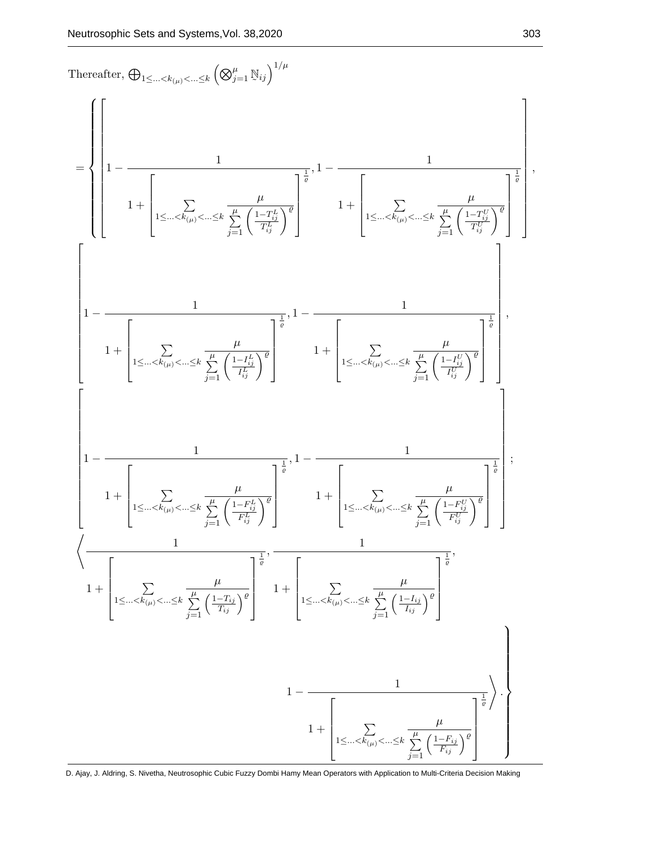

D. Ajay, J. Aldring, S. Nivetha, Neutrosophic Cubic Fuzzy Dombi Hamy Mean Operators with Application to Multi-Criteria Decision Making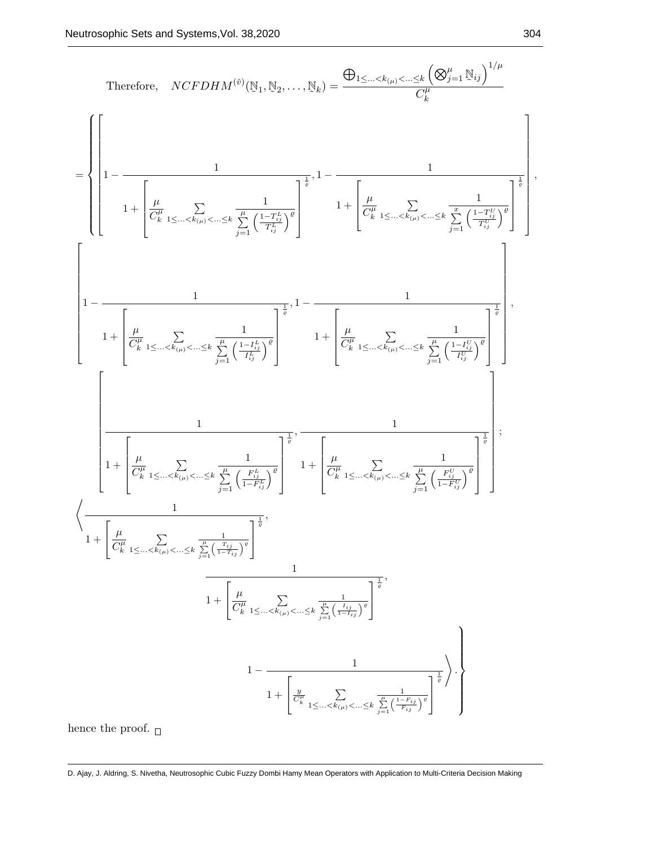Therefore, 
$$
NCFDHM^{(0)}(\mathbb{N}_{1}, \mathbb{N}_{2},..., \mathbb{N}_{k}) = \frac{\bigoplus_{1 \leq ... \leq k_{(p)} \leq ... \leq k} \bigotimes_{j=1}^{k} \frac{1}{\mathbb{N}_{ij}} \bigg)^{1/\mu}}{\binom{\mu}{k}} = \frac{\left[1 - \frac{1}{\left(\frac{\mu}{C_{k}}\sum_{1 \leq ... \leq k_{(p)} \leq ... \leq k} \sum_{j=1}^{n} \frac{1 - T_{ij}^{n}}{\left(\frac{1 - T_{ij}^{n}}{C_{k}}\right)^{\beta}}\right]^{1/2} + \left[\frac{\mu}{C_{k}}\sum_{1 \leq ... \leq k_{(p)} \leq ... \leq k} \frac{1}{\sum_{j=1}^{n} \left(\frac{1 - T_{ij}^{n}}{T_{ij}^{n}}\right)^{\beta}}\right]^{1/2}}\right]^{1/2}
$$
\n
$$
\left[1 - \frac{1}{\left[\frac{\mu}{C_{k}}\sum_{1 \leq ... \leq k_{(p)} \leq ... \leq k} \frac{1}{\sum_{j=1}^{n} \left(\frac{1 - T_{ij}^{n}}{T_{ij}^{n}}\right)^{\beta}}\right]^{1/2} + \left[\frac{\mu}{C_{k}}\sum_{1 \leq ... \leq k_{(p)} \leq ... \leq k} \frac{1}{\sum_{j=1}^{n} \left(\frac{1 - T_{ij}^{p}}{T_{ij}^{p}}\right)^{\beta}}\right]^{1/2}}\right]
$$
\n
$$
\left[1 + \left[\frac{\mu}{C_{k}}\sum_{1 \leq ... \leq k_{(p)} \leq ... \leq k} \frac{1}{\sum_{j=1}^{n} \left(\frac{P_{ij}^{n}}{1 - P_{ij}^{n}}\right)^{\beta}}\right]^{1/2} + \left[\frac{\mu}{C_{k}}\sum_{1 \leq ... \leq k_{(p)} \leq ... \leq k} \frac{1}{\sum_{j=1}^{n} \left(\frac{P_{ij}^{p}}{1 - P_{ij}^{p}}\right)^{\beta}}\right]^{1/2}}\right]
$$
\n
$$
\left\{\frac{1}{1 + \left[\frac{\mu}{C_{k}}\sum_{1 \leq ... \leq k_{(p)} \leq ... \leq k} \frac{1}{\sum_{j=1
$$

hence the proof.  $_\Box$ 

D. Ajay, J. Aldring, S. Nivetha, Neutrosophic Cubic Fuzzy Dombi Hamy Mean Operators with Application to Multi-Criteria Decision Making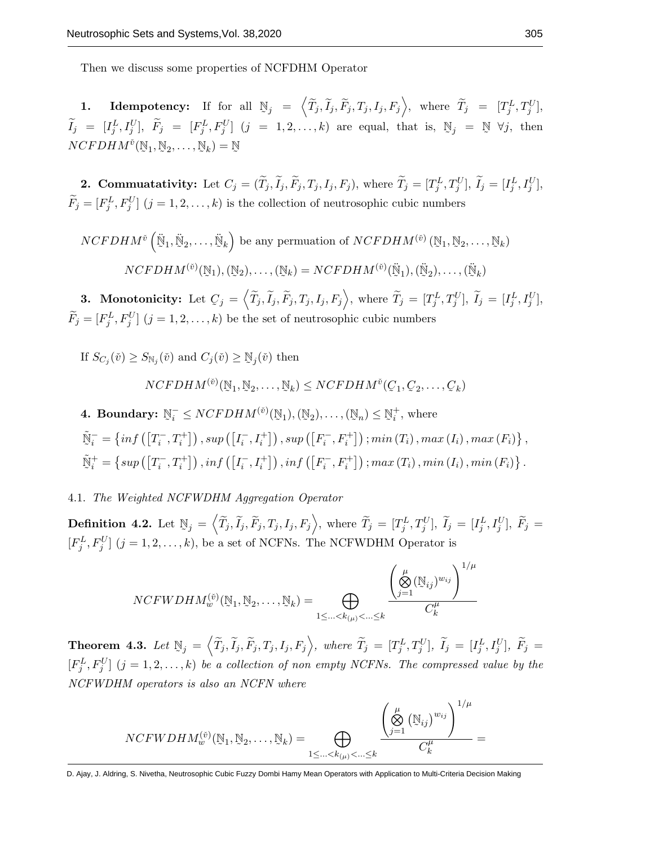Then we discuss some properties of NCFDHM Operator

**1.** Idempotency: If for all  $\mathbb{N}_j = \left\langle \widetilde{T}_j, \widetilde{I}_j, \widetilde{F}_j, T_j, I_j, F_j \right\rangle$ , where  $\widetilde{T}_j = [T_j^L, T_j^U],$ ˜  $\widetilde{I}_j = [I_j^L, I_j^U], \ \widetilde{F}_j = [F_j^L, F_j^U] \ (j = 1, 2, ..., k)$  are equal, that is,  $\mathbb{N}_j = \mathbb{N}$  $\mathbb N$  ∀j, then  $NCFDHM^{ \check{v}}($  $\mathbb{N}_1$ ,  $\mathbb{N}_2, \ldots,$  $\mathbb{N}_k$ ) =  $\tilde{\phantom{a}}$ N

**2. Commuatativity:** Let  $C_j = (\tilde{T}_j, \tilde{I}_j, \tilde{F}_j, T_j, I_j, F_j)$ , where  $\tilde{T}_j = [T_j^L, T_j^U], \tilde{I}_j = [I_j^L, I_j^U],$  $\widetilde{F}_j = [F_j^L, F_j^U]$   $(j = 1, 2, ..., k)$  is the collection of neutrosophic cubic numbers

$$
NCFDHM^{\check{v}}\left(\ddot{\mathbb{N}}_1, \ddot{\mathbb{N}}_2, \dots, \ddot{\mathbb{N}}_k\right) \text{ be any permutation of } NCFDHM^{(\check{v})}\left(\mathbb{N}_1, \mathbb{N}_2, \dots, \mathbb{N}_k\right)
$$

$$
NCFDHM^{(\check{v})}(\mathbb{N}_1), (\mathbb{N}_2), \dots, (\mathbb{N}_k) = NCFDHM^{(\check{v})}(\ddot{\mathbb{N}}_1), (\ddot{\mathbb{N}}_2), \dots, (\ddot{\mathbb{N}}_k)
$$

3. Monotonicity: Let  $C_j = \left\langle \widetilde{T}_j, \widetilde{I}_j, \widetilde{F}_j, T_j, I_j, F_j \right\rangle$ , where  $\widetilde{T}_j = [T_j^L, T_j^U], \widetilde{I}_j = [I_j^L, I_j^U],$  $\widetilde{F}_j = [F_j^L, F_j^U]$   $(j = 1, 2, ..., k)$  be the set of neutrosophic cubic numbers

If  $S_{C_j}(\check{v}) \geq S_{\mathbb{N}_j}(\check{v})$  and  $C_j(\check{v}) \geq \mathbb{N}_j(\check{v})$  then

$$
NCFDHM^{(\check{v})}(\mathbb{N}_1, \mathbb{N}_2, \dots, \mathbb{N}_k) \le NCFDHM^{\check{v}}(\mathcal{C}_1, \mathcal{C}_2, \dots, \mathcal{C}_k)
$$

4. Boundary: 
$$
\mathbb{N}_i^- \le NCFDHM^{(\tilde{v})}(\mathbb{N}_1), (\mathbb{N}_2), \dots, (\mathbb{N}_n) \le \mathbb{N}_i^+
$$
, where  
\n
$$
\tilde{\mathbb{N}}_i^- = \{ \inf \left( \left[ T_i^-, T_i^+ \right] \right), \sup \left( \left[ I_i^-, I_i^+ \right] \right), \sup \left( \left[ F_i^-, F_i^+ \right] \right), \min \left( T_i \right), \max \left( I_i \right), \max \left( F_i \right) \},
$$
\n
$$
\tilde{\mathbb{N}}_i^+ = \{ \sup \left( \left[ T_i^-, T_i^+ \right] \right), \inf \left( \left[ I_i^-, I_i^+ \right] \right), \inf \left( \left[ F_i^-, F_i^+ \right] \right), \max \left( T_i \right), \min \left( I_i \right), \min \left( F_i \right) \}.
$$

4.1. The Weighted NCFWDHM Aggregation Operator

Definition 4.2. Let  $\mathbb{N}_j = \left\langle \widetilde{T}_j, \widetilde{I}_j, \widetilde{F}_j, T_j, I_j, F_j \right\rangle$ , where  $\widetilde{T}_j = [T_j^L, T_j^U], \widetilde{I}_j = [I_j^L, I_j^U], \widetilde{F}_j =$  $[F_j^L, F_j^U]$   $(j = 1, 2, ..., k)$ , be a set of NCFNs. The NCFWDHM Operator is

$$
NCFWDHM_{w}^{(\check{v})}(\mathbb{N}_{1},\mathbb{N}_{2},\ldots,\mathbb{N}_{k})=\bigoplus_{1\leq\ldots\leq k_{(\mu)}<\ldots\leq k}\frac{\left(\bigotimes_{j=1}^{\mu}(\mathbb{N}_{ij})^{w_{ij}}\right)^{1/\mu}}{C_{k}^{\mu}}
$$

Theorem 4.3. Let  $\mathbb{N}_j = \left\langle \widetilde{T}_j, \widetilde{I}_j, \widetilde{F}_j, T_j, I_j, F_j \right\rangle$ , where  $\widetilde{T}_j = [T_j^L, T_j^U], \ \widetilde{I}_j = [I_j^L, I_j^U], \ \widetilde{F}_j = [T_j^L, I_j^U],$  $[F_j^L, F_j^U]$   $(j = 1, 2, ..., k)$  be a collection of non empty NCFNs. The compressed value by the NCFWDHM operators is also an NCFN where

$$
NCFWDHM_w^{(\check{v})}(\mathbb{N}_1, \mathbb{N}_2, \dots, \mathbb{N}_k) = \bigoplus_{1 \leq \dots < k_{(\mu)} < \dots \leq k} \frac{\left(\bigotimes_{j=1}^{\mu} (\mathbb{N}_{ij})^{w_{ij}}\right)^{1/\mu}}{C_k^{\mu}} =
$$

D. Ajay, J. Aldring, S. Nivetha, Neutrosophic Cubic Fuzzy Dombi Hamy Mean Operators with Application to Multi-Criteria Decision Making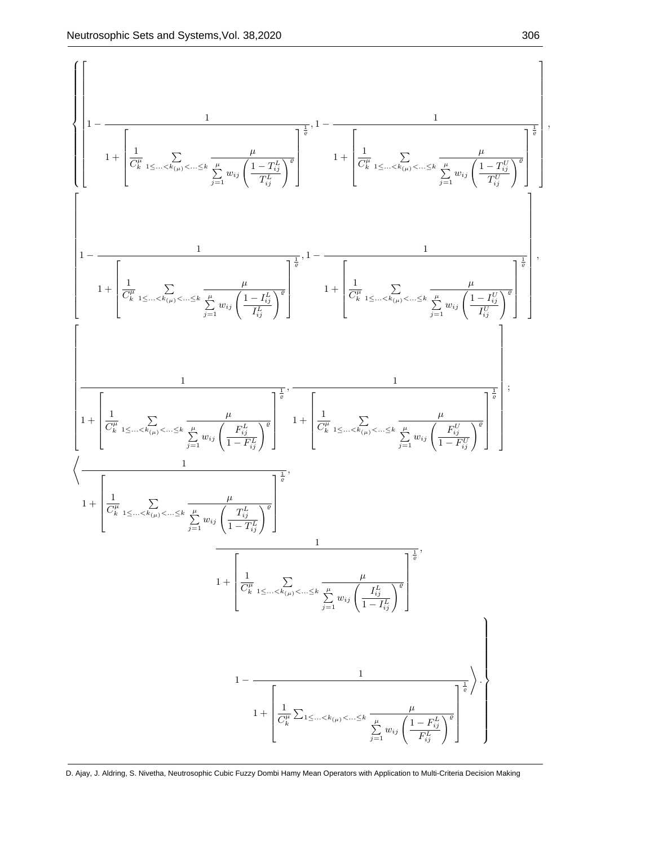

D. Ajay, J. Aldring, S. Nivetha, Neutrosophic Cubic Fuzzy Dombi Hamy Mean Operators with Application to Multi-Criteria Decision Making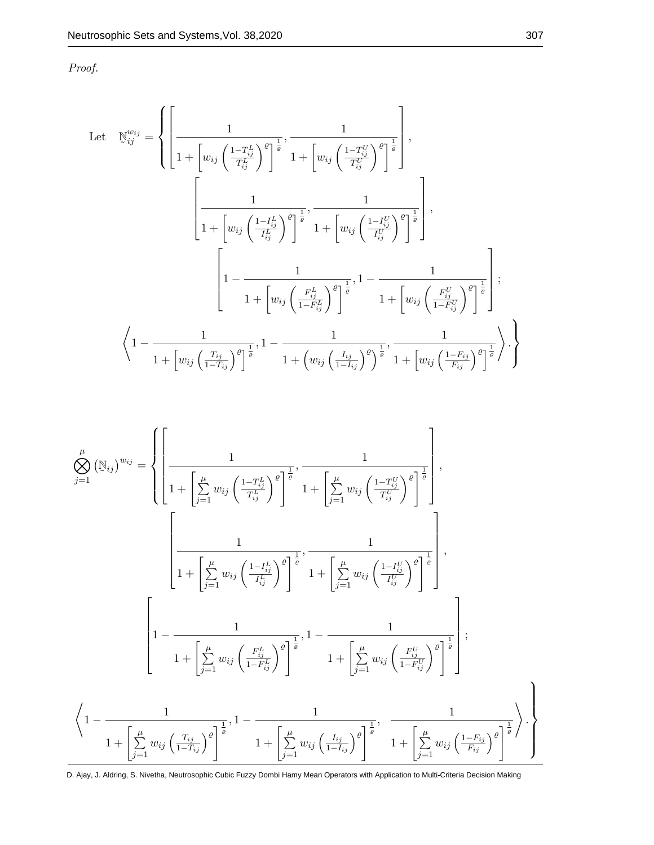Proof.

Let 
$$
\mathbb{N}_{ij}^{w_{ij}} = \left\{ \left[ \frac{1}{1 + \left[ w_{ij} \left( \frac{1 - T_{ij}^L}{T_{ij}^L} \right)^{\varrho} \right]^{\frac{1}{\varrho}}}, \frac{1}{1 + \left[ w_{ij} \left( \frac{1 - T_{ij}^U}{T_{ij}^U} \right)^{\varrho} \right]^{\frac{1}{\varrho}}} \right],
$$
\n
$$
\left[ \frac{1}{1 + \left[ w_{ij} \left( \frac{1 - I_{ij}^L}{I_{ij}^L} \right)^{\varrho} \right]^{\frac{1}{\varrho}}}, \frac{1}{1 + \left[ w_{ij} \left( \frac{1 - I_{ij}^U}{I_{ij}^U} \right)^{\varrho} \right]^{\frac{1}{\varrho}}} \right],
$$
\n
$$
\left[ 1 - \frac{1}{1 + \left[ w_{ij} \left( \frac{F_{ij}^L}{1 - F_{ij}^L} \right)^{\varrho} \right]^{\frac{1}{\varrho}}}, 1 - \frac{1}{1 + \left[ w_{ij} \left( \frac{F_{ij}^U}{1 - F_{ij}^U} \right)^{\varrho} \right]^{\frac{1}{\varrho}}} \right];
$$
\n
$$
\left\langle 1 - \frac{1}{1 + \left[ w_{ij} \left( \frac{T_{ij}}{1 - T_{ij}} \right)^{\varrho} \right]^{\frac{1}{\varrho}}}, 1 - \frac{1}{1 + \left( w_{ij} \left( \frac{I_{ij}}{1 - I_{ij}} \right)^{\varrho} \right)^{\frac{1}{\varrho}}}, \frac{1}{1 + \left[ w_{ij} \left( \frac{1 - F_{ij}}{F_{ij}} \right)^{\varrho} \right]^{\frac{1}{\varrho}}} \right\rangle \right\}
$$

$$
\begin{split} \bigotimes_{j=1}^{\mu}\left(\mathbb{N}_{ij}\right)^{w_{ij}} &= \left\{\left[\frac{1}{1+\left[\sum\limits_{j=1}^{\mu}w_{ij}\left(\frac{1-T_{ij}^{L}}{T_{ij}^{L}}\right)^{\varrho}\right]^{\frac{1}{\varrho}}},\frac{1}{1+\left[\sum\limits_{j=1}^{\mu}w_{ij}\left(\frac{1-T_{ij}^{L}}{T_{ij}^{L}}\right)^{\varrho}\right]^{\frac{1}{\varrho}}}\right],\\ \left[\frac{1}{1+\left[\sum\limits_{j=1}^{\mu}w_{ij}\left(\frac{1-I_{ij}^{L}}{I_{ij}^{L}}\right)^{\varrho}\right]^{\frac{1}{\varrho}}},\frac{1}{1+\left[\sum\limits_{j=1}^{\mu}w_{ij}\left(\frac{1-I_{ij}^{U}}{I_{ij}^{U}}\right)^{\varrho}\right]^{\frac{1}{\varrho}}}\right],\\ \left[1-\frac{1}{1+\left[\sum\limits_{j=1}^{\mu}w_{ij}\left(\frac{F_{ij}^{L}}{1-F_{ij}^{L}}\right)^{\varrho}\right]^{\frac{1}{\varrho}}},1-\frac{1}{1+\left[\sum\limits_{j=1}^{\mu}w_{ij}\left(\frac{F_{ij}^{U}}{1-F_{ij}^{U}}\right)^{\varrho}\right]^{\frac{1}{\varrho}}}\right];\\ \left\langle1-\frac{1}{1+\left[\sum\limits_{j=1}^{\mu}w_{ij}\left(\frac{T_{ij}}{1-T_{ij}^{L}}\right)^{\varrho}\right]^{\frac{1}{\varrho}}},1-\frac{1}{1+\left[\sum\limits_{j=1}^{\mu}w_{ij}\left(\frac{I_{ij}}{1-I_{ij}}\right)^{\varrho}\right]^{\frac{1}{\varrho}}},\frac{1}{1+\left[\sum\limits_{j=1}^{\mu}w_{ij}\left(\frac{1-F_{ij}}{F_{ij}}\right)^{\varrho}\right]^{\frac{1}{\varrho}}}\right\rangle.\right\} \end{split}
$$

D. Ajay, J. Aldring, S. Nivetha, Neutrosophic Cubic Fuzzy Dombi Hamy Mean Operators with Application to Multi-Criteria Decision Making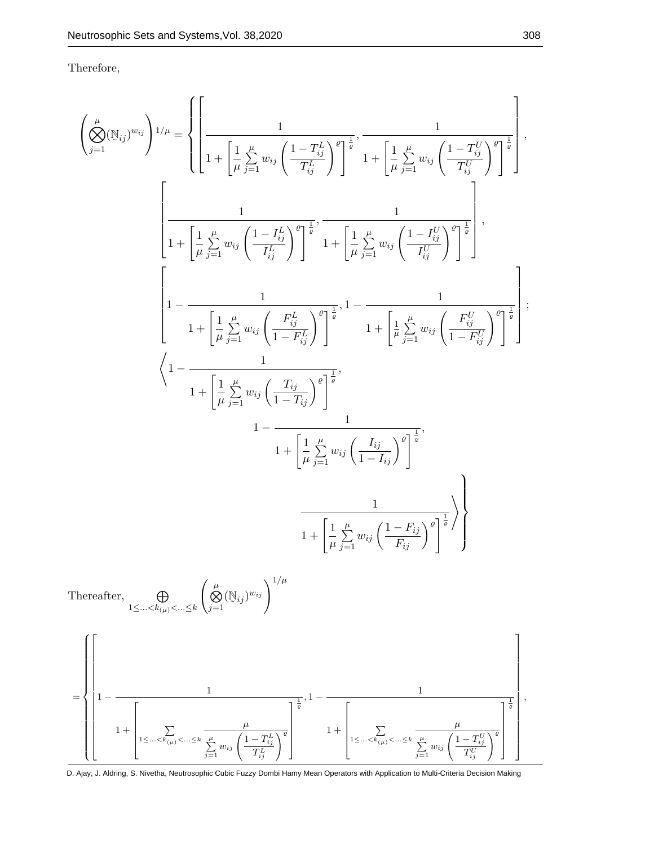Therefore,

$$
\left(\bigotimes_{j=1}^{ \mu}(\mathbb{N}_{ij})^{w_{ij}}\right)^{1/\mu} = \left\{\left[\frac{1}{1+\left[\frac{1}{\mu}\sum_{j=1}^{\mu}w_{ij}\left(\frac{1-T_{ij}^{L}}{T_{ij}^{L}}\right)^{2}\right]^{\frac{1}{2}},\frac{1}{1+\left[\frac{1}{\mu}\sum_{j=1}^{\mu}w_{ij}\left(\frac{1-T_{ij}^{L}}{T_{ij}^{L}}\right)^{2}\right]^{\frac{1}{2}}}\right],
$$
\n
$$
\left[\frac{1}{1+\left[\frac{1}{\mu}\sum_{j=1}^{\mu}w_{ij}\left(\frac{1-I_{ij}^{L}}{I_{ij}^{L}}\right)^{2}\right]^{\frac{1}{\theta}}},\frac{1}{1+\left[\frac{1}{\mu}\sum_{j=1}^{\mu}w_{ij}\left(\frac{1-I_{ij}^{L}}{I_{ij}^{L}}\right)^{2}\right]^{\frac{1}{\theta}}}\right],
$$
\n
$$
\left[1-\frac{1}{1+\left[\frac{1}{\mu}\sum_{j=1}^{\mu}w_{ij}\left(\frac{F_{ij}^{L}}{1-F_{ij}^{L}}\right)^{2}\right]^{\frac{1}{\theta}}},1-\frac{1}{1+\left[\frac{1}{\mu}\sum_{j=1}^{\mu}w_{ij}\left(\frac{F_{ij}^{L}}{1-F_{ij}^{L}}\right)^{2}\right]^{\frac{1}{\theta}}}\right],
$$
\n
$$
\left\langle1-\frac{1}{1+\left[\frac{1}{\mu}\sum_{j=1}^{\mu}w_{ij}\left(\frac{T_{ij}}{1-T_{ij}}\right)^{2}\right]^{\frac{1}{\theta}}},\frac{1}{1+\left[\frac{1}{\mu}\sum_{j=1}^{\mu}w_{ij}\left(\frac{I_{ij}}{1-I_{ij}}\right)^{2}\right]^{\frac{1}{\theta}}},\frac{1}{1+\left[\frac{1}{\mu}\sum_{j=1}^{\mu}w_{ij}\left(\frac{1-F_{ij}}{F_{ij}}\right)^{2}\right]^{\frac{1}{\theta}}}\right],
$$
\n
$$
\left[\left|1-\frac{1}{1+\left[\frac{1}{\mu}\sum_{1\le...\le k_{(p)}<...\le k}\left(\bigotimes_{j=1}^{\mu}(N_{ij})^{w_{ij}}\right)^{1/\mu}\right]^{\frac{1}{\theta}}},
$$

D. Ajay, J. Aldring, S. Nivetha, Neutrosophic Cubic Fuzzy Dombi Hamy Mean Operators with Application to Multi-Criteria Decision Making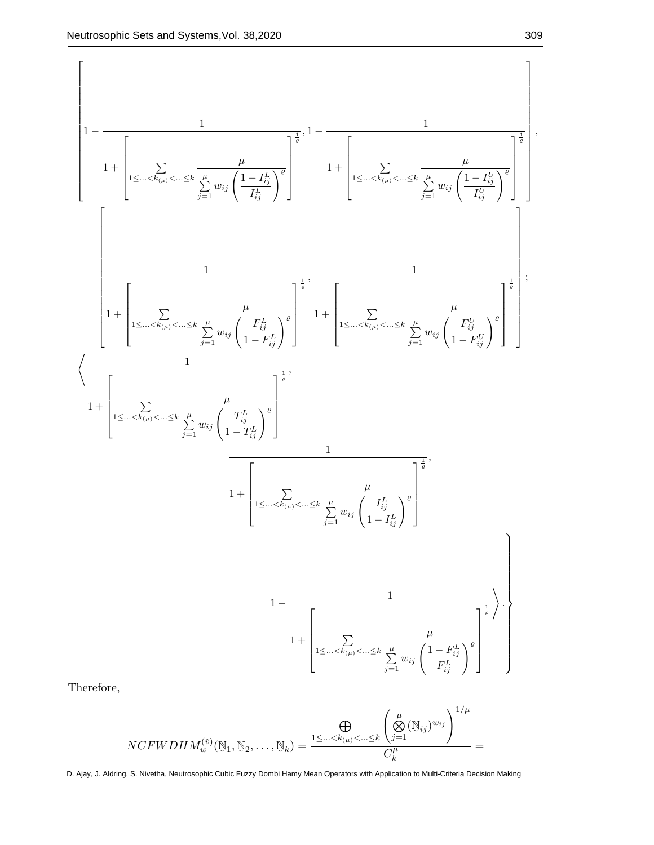,

$$
\left\{\begin{array}{c}1-\frac{1}{\left(1+\left[\displaystyle\sum_{1\leq...\leq k_{(p)}}<\ldots\leq k\right]\displaystyle\sum_{j=1}^{\mu}w_{ij}\left(\frac{1-I_{ij}^{L}}{I_{ij}^{L}}\right)^{2}\right]^{2}}-\frac{1}{1+\left[\displaystyle\sum_{1\leq...\leq k_{(p)}}<\ldots\leq k\frac{\mu}{\sum_{j=1}^{\mu}w_{ij}\left(\frac{1-I_{ij}^{L}}{I_{ij}^{L}}\right)^{2}}\right]^{2}}\right]^{2}\\\ \\-\left[\frac{1}{1+\left[\displaystyle\sum_{1\leq...\leq k_{(p)}<\ldots\leq k}\frac{\mu}{\sum_{j=1}^{\mu}w_{ij}\left(\frac{F_{ij}^{L}}{1-F_{ij}^{L}}\right)^{\theta}}\right]^{2}}+\left[\displaystyle\sum_{1\leq...\leq k_{(p)}<\ldots\leq k}\frac{\mu}{\sum_{j=1}^{\mu}w_{ij}\left(\frac{F_{ij}^{L}}{1-F_{ij}^{L}}\right)^{\theta}}\right]^{2}}\right];\\\ \\\left\{\frac{1}{1+\left[\displaystyle\sum_{1\leq...\leq k_{(p)}<\ldots\leq k}\frac{\mu}{\sum_{j=1}^{\mu}w_{ij}\left(\frac{T_{ij}^{L}}{1-T_{ij}^{L}}\right)^{\theta}}\right]^{2}},\\\frac{1}{1+\left[\displaystyle\sum_{1\leq...\leq k_{(p)}<\ldots\leq k}\frac{\mu}{\sum_{j=1}^{\mu}w_{ij}\left(\frac{I_{ij}^{L}}{1-I_{ij}^{L}}\right)^{\theta}}\right]^{2}},\\\frac{1}{1+\left[\displaystyle\sum_{1\leq...\leq k_{(p)}<\ldots\leq k}\frac{\mu}{\sum_{j=1}^{\mu}w_{ij}\left(\frac{I-F_{ij}^{L}}{1-F_{ij}^{L}}\right)^{\theta}}\right]^{2}}\right];\\\end{array}
$$
Therefore,  

$$
NCFWDHM_{w}^{(\theta)}(\mathbb{N}_{1},\mathbb{N}_{2},\ldots,\mathbb{N}_{k})=\frac{1\leq...\leq k_{(p)}<\ldots\leq k}\left(\sum_{j=1}^{\mu}w_{ij}\left(\frac{1-F_{ij}^{L}}{F_{ij}^{L}}\right)^{\theta}\right)}{\left(\sum_{j
$$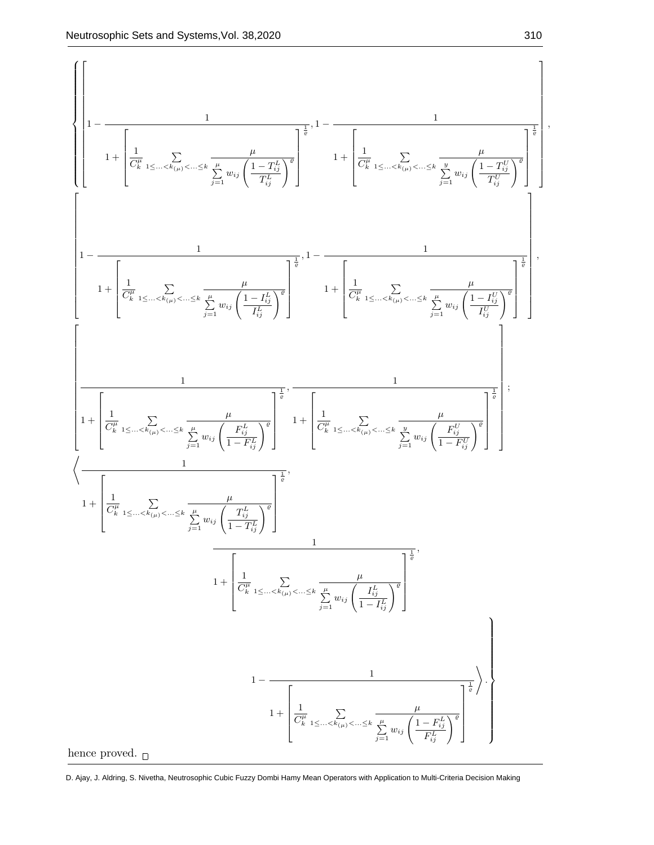$$
\left\{\left[1-\frac{1}{\left[\frac{1}{C_{k}^{n}}\sum_{1\leq...\leq k_{(p)}}\sum_{\omega_{i}\leq...\leq k}\frac{\mu}{\sum_{j=1}^{n}w_{ij}\left(\frac{1-T_{ij}^{L}}{T_{ij}^{L}}\right)^{2}}\right]^{\frac{1}{q}}-\frac{1}{1+\left[\frac{1}{C_{k}^{n}}\sum_{1\leq...\leq k_{(p)}\leq...\leq k}\frac{\mu}{\sum_{j=1}^{n}w_{ij}\left(\frac{1-T_{ij}^{L}}{T_{ij}^{L}}\right)^{2}}\right]^{\frac{1}{q}}\right],\\1-\frac{1}{\left[1-\frac{1}{\left[\frac{1}{C_{k}^{n}}\sum_{1\leq...\leq k_{(p)}\leq...\leq k}\frac{\mu}{\sum_{j=1}^{n}w_{ij}\left(\frac{1-T_{ij}^{L}}{T_{ij}^{L}}\right)^{2}}\right]^{\frac{1}{q}}}\right]+\left[\frac{1}{C_{k}^{n}}\sum_{1\leq...\leq k_{(p)}\leq...\leq k}\frac{\mu}{\sum_{j=1}^{n}w_{ij}\left(\frac{1-T_{ij}^{L}}{T_{ij}^{L}}\right)^{2}}\right]^{\frac{1}{q}}\right],\\1+\left[\frac{1}{C_{k}^{n}}\sum_{1\leq...\leq k_{(p)}\leq...\leq k}\frac{\mu}{\sum_{j=1}^{n}w_{ij}\left(\frac{T_{ij}^{L}}{T_{ij}^{L}}\right)^{2}}\right]^{\frac{1}{q}}\right],\\1+\left[\frac{1}{C_{k}^{n}}\sum_{1\leq...\leq k_{(p)}\leq...\leq k}\frac{\mu}{\sum_{j=1}^{n}w_{ij}\left(\frac{T_{ij}^{L}}{1-T_{ij}^{L}}\right)^{2}}\right]^{\frac{1}{q}}},\\1+\left[\frac{1}{C_{k}^{n}}\sum_{1\leq...\leq k_{(p)}\leq...\leq k}\frac{\mu}{\sum_{j=1}^{n}w_{ij}\left(\frac{T_{ij}^{L}}{1-T_{ij}^{L}}\right)^{2}}\right]^{\frac{1}{q}}},\\1+\left[\frac{1}{C_{k}^{n}}\sum_{1\leq...\leq k_{(p)}\leq...\leq k}\frac{\mu}{\sum_{j=1}^{n}w_{ij}\left(\frac{T_{ij}^{L
$$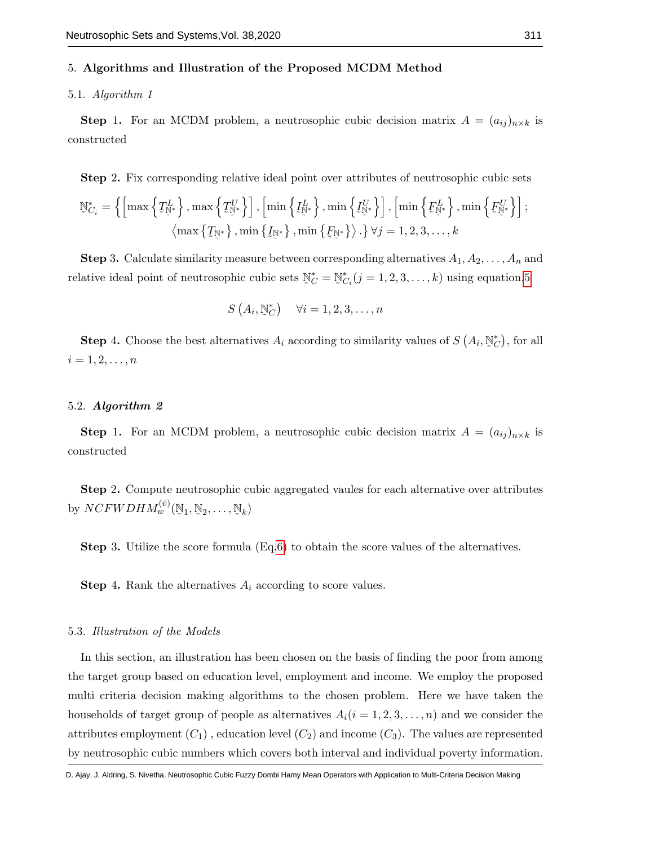#### 5. Algorithms and Illustration of the Proposed MCDM Method

## 5.1. Algorithm 1

**Step 1.** For an MCDM problem, a neutrosophic cubic decision matrix  $A = (a_{ij})_{n \times k}$  is constructed

Step 2. Fix corresponding relative ideal point over attributes of neutrosophic cubic sets

$$
\mathbb{N}_{C_i}^* = \left\{ \left[ \max \left\{ \mathcal{I}_{\mathbb{N}^*}^L \right\}, \max \left\{ \mathcal{I}_{\mathbb{N}^*}^U \right\} \right], \left[ \min \left\{ \mathcal{I}_{\mathbb{N}^*}^L \right\}, \min \left\{ \mathcal{I}_{\mathbb{N}^*}^U \right\} \right], \left[ \min \left\{ \mathcal{F}_{\mathbb{N}^*}^L \right\}, \min \left\{ \mathcal{F}_{\mathbb{N}^*}^U \right\} \right], \left[ \min \left\{ \mathcal{F}_{\mathbb{N}^*}^L \right\}, \min \left\{ \mathcal{F}_{\mathbb{N}^*}^U \right\} \right], \left[ \min \left\{ \mathcal{F}_{\mathbb{N}^*}^L \right\}, \min \left\{ \mathcal{F}_{\mathbb{N}^*}^U \right\} \right], \left[ \min \left\{ \mathcal{F}_{\mathbb{N}^*}^L \right\}, \min \left\{ \mathcal{F}_{\mathbb{N}^*}^U \right\} \right], \left[ \min \left\{ \mathcal{F}_{\mathbb{N}^*}^U \right\} \right], \left[ \min \left\{ \mathcal{F}_{\mathbb{N}^*}^U \right\} \right], \left[ \min \left\{ \mathcal{F}_{\mathbb{N}^*}^U \right\} \right], \left[ \min \left\{ \mathcal{F}_{\mathbb{N}^*}^U \right\} \right], \left[ \min \left\{ \mathcal{F}_{\mathbb{N}^*}^U \right\} \right], \left[ \min \left\{ \mathcal{F}_{\mathbb{N}^*}^U \right\} \right], \left[ \min \left\{ \mathcal{F}_{\mathbb{N}^*}^U \right\} \right], \left[ \min \left\{ \mathcal{F}_{\mathbb{N}^*}^U \right\} \right], \left[ \min \left\{ \mathcal{F}_{\mathbb{N}^*}^U \right\} \right], \left[ \min \left\{ \mathcal{F}_{\mathbb{N}^*}^U \right\} \right], \left[ \min \left\{ \mathcal{F}_{\mathbb{N}^*}^U \right\} \right], \left[ \min \left\{ \mathcal{F}_{\mathbb{N}
$$

**Step 3.** Calculate similarity measure between corresponding alternatives  $A_1, A_2, \ldots, A_n$  and relative ideal point of neutrosophic cubic sets  $\tilde{\ }$  $\mathbb{N}_C^* = \mathbb{N}$  $\mathbb{N}_{C_i}^*(j=1,2,3,\ldots,k)$  using equation[.5](#page-4-0)

$$
S\left(A_i, \mathbb{N}_{C}^*\right) \quad \forall i = 1, 2, 3, \dots, n
$$

**Step 4.** Choose the best alternatives  $A_i$  according to similarity values of  $S(A_i)$ , ˜  $\mathbb{N}_{C}^{*}$ ), for all  $i = 1, 2, \ldots, n$ 

## 5.2. Algorithm 2

**Step 1.** For an MCDM problem, a neutrosophic cubic decision matrix  $A = (a_{ij})_{n \times k}$  is constructed

Step 2. Compute neutrosophic cubic aggregated vaules for each alternative over attributes by  $NCFWDHM^{(\check{v})}_{w}(\mathbb{N}_1,$  $\mathbb{N}_2, \ldots,$  $\mathbb{N}_k$ )

Step 3. Utilize the score formula (Eq[.6\)](#page-5-0) to obtain the score values of the alternatives.

**Step 4.** Rank the alternatives  $A_i$  according to score values.

#### 5.3. Illustration of the Models

In this section, an illustration has been chosen on the basis of finding the poor from among the target group based on education level, employment and income. We employ the proposed multi criteria decision making algorithms to the chosen problem. Here we have taken the households of target group of people as alternatives  $A_i(i = 1, 2, 3, \ldots, n)$  and we consider the attributes employment  $(C_1)$ , education level  $(C_2)$  and income  $(C_3)$ . The values are represented by neutrosophic cubic numbers which covers both interval and individual poverty information.

D. Ajay, J. Aldring, S. Nivetha, Neutrosophic Cubic Fuzzy Dombi Hamy Mean Operators with Application to Multi-Criteria Decision Making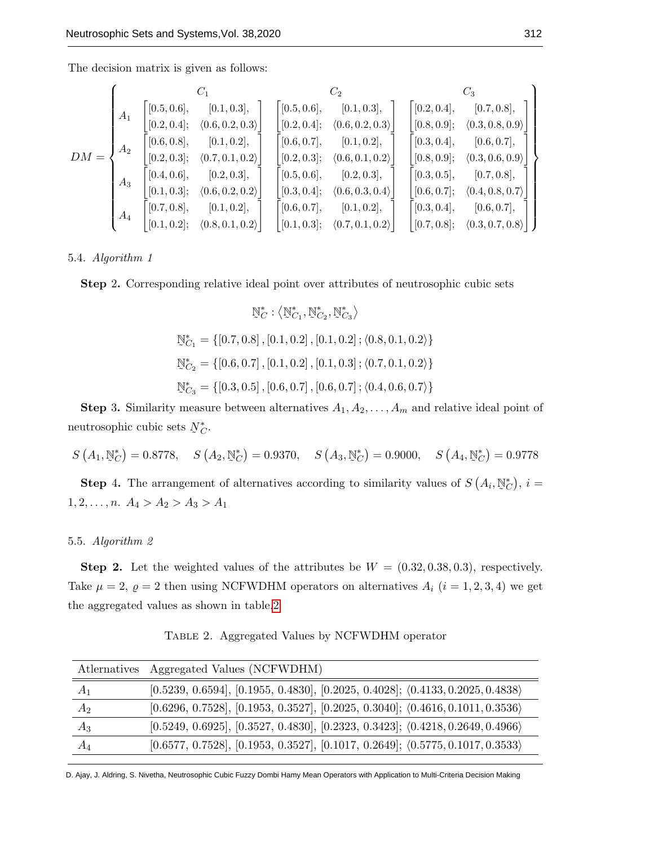The decision matrix is given as follows:

$$
DM = \begin{Bmatrix}\nC_1 & C_2 & C_3 \\
A_1 & [0.5, 0.6], & [0.1, 0.3], \\
[0.2, 0.4]; & \langle 0.6, 0.2, 0.3 \rangle \\
A_2 & [0.2, 0.3]; & \langle 0.7, 0.1, 0.2 \rangle \\
A_3 & [0.1, 0.3]; & \langle 0.6, 0.2, 0.3 \rangle \\
A_4 & [0.7, 0.8], & [0.1, 0.2], \\
[0.1, 0.2]; & \langle 0.8, 0.1, 0.2 \rangle\n\end{Bmatrix}\n\begin{bmatrix}\n0.5, 0.6], & [0.1, 0.3], \\
[0.2, 0.4]; & \langle 0.6, 0.2, 0.3 \rangle \\
[0.2, 0.3]; & \langle 0.6, 0.7 \rangle\n\end{bmatrix}\n\begin{bmatrix}\n0.6, 0.7, 0.8 \\
0.1, 0.2, 0.3 \\
0.2, 0.3, 0.4\n\end{bmatrix}\n\begin{bmatrix}\n0.7, 0.8, 0.9 \\
0.2, 0.3, 0.4 \\
0.3, 0.4, 0.5\n\end{bmatrix}\n\begin{bmatrix}\n0.8, 0.9\end{bmatrix}; & \langle 0.3, 0.4, 0.6, 0.7, 0.8\n\end{bmatrix}
$$
\n
$$
A_3 = \begin{bmatrix}\n0.4, 0.6, 0.7, 0.8 \\
0.1, 0.3, 0.4 \\
0.1, 0.2, 0.3\n\end{bmatrix}; \quad \langle 0.6, 0.2, 0.3, 0.4\n\end{bmatrix}\n\begin{bmatrix}\n0.2, 0.3, 0.4 \\
0.3, 0.4, 0.5\n\end{bmatrix}\n\begin{bmatrix}\n0.3, 0.4, 0.5 \\
0.5, 0.6, 0.5\n\end{bmatrix}\n\begin{bmatrix}\n0.4, 0.6, 0.7 \\
0.5, 0.6, 0.5\n\end{bmatrix}\n\begin{bmatrix}\n0.5, 0.6, 0.7 \\
0.6, 0.7, 0.8\n\end{bmatrix}\n\begin{bmatrix}\n0.6, 0.7, 0.8 \\
0
$$

5.4. Algorithm 1

Step 2. Corresponding relative ideal point over attributes of neutrosophic cubic sets

$$
\mathbb{N}_{C}^{*}: \left\langle \mathbb{N}_{C_{1}}^{*}, \mathbb{N}_{C_{2}}^{*}, \mathbb{N}_{C_{3}}^{*} \right\rangle
$$
\n
$$
\mathbb{N}_{C_{1}}^{*} = \{ [0.7, 0.8], [0.1, 0.2], [0.1, 0.2], \left\langle 0.8, 0.1, 0.2 \right\} \}
$$
\n
$$
\mathbb{N}_{C_{2}}^{*} = \{ [0.6, 0.7], [0.1, 0.2], [0.1, 0.3], \left\langle 0.7, 0.1, 0.2 \right\} \}
$$
\n
$$
\mathbb{N}_{C_{3}}^{*} = \{ [0.3, 0.5], [0.6, 0.7], [0.6, 0.7], \left\langle 0.4, 0.6, 0.7 \right\} \}
$$

**Step 3.** Similarity measure between alternatives  $A_1, A_2, \ldots, A_m$  and relative ideal point of neutrosophic cubic sets ˜  $N_C^*$ .

$$
S(A_1, \mathbb{N}_C^*) = 0.8778
$$
,  $S(A_2, \mathbb{N}_C^*) = 0.9370$ ,  $S(A_3, \mathbb{N}_C^*) = 0.9000$ ,  $S(A_4, \mathbb{N}_C^*) = 0.9778$ 

**Step 4.** The arrangement of alternatives according to similarity values of  $S(A_i)$ , ˜  $(\mathbb{N}_{\mathbb{C}}^*)$ ,  $i=$  $1, 2, \ldots, n.$   $A_4 > A_2 > A_3 > A_1$ 

### 5.5. Algorithm 2

Step 2. Let the weighted values of the attributes be  $W = (0.32, 0.38, 0.3)$ , respectively. Take  $\mu = 2$ ,  $\varrho = 2$  then using NCFWDHM operators on alternatives  $A_i$   $(i = 1, 2, 3, 4)$  we get the aggregated values as shown in table[.2](#page-19-0)

<span id="page-19-0"></span>

|       | Atlernatives Aggregated Values (NCFWDHM)                                                       |
|-------|------------------------------------------------------------------------------------------------|
| $A_1$ | $[0.5239, 0.6594], [0.1955, 0.4830], [0.2025, 0.4028]; \langle 0.4133, 0.2025, 0.4838 \rangle$ |
| $A_2$ | $[0.6296, 0.7528], [0.1953, 0.3527], [0.2025, 0.3040]; \langle 0.4616, 0.1011, 0.3536 \rangle$ |
| $A_3$ | $[0.5249, 0.6925], [0.3527, 0.4830], [0.2323, 0.3423]; \langle 0.4218, 0.2649, 0.4966 \rangle$ |
| $A_4$ | $[0.6577, 0.7528], [0.1953, 0.3527], [0.1017, 0.2649]; \langle 0.5775, 0.1017, 0.3533 \rangle$ |

Table 2. Aggregated Values by NCFWDHM operator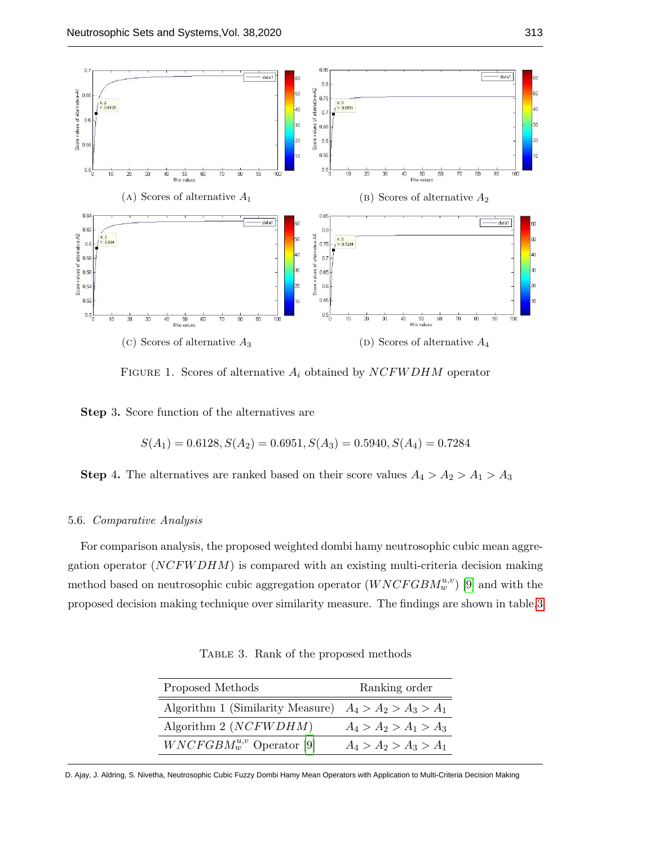<span id="page-20-1"></span>

FIGURE 1. Scores of alternative  $A_i$  obtained by  $NCFWDHM$  operator

Step 3. Score function of the alternatives are

$$
S(A_1) = 0.6128, S(A_2) = 0.6951, S(A_3) = 0.5940, S(A_4) = 0.7284
$$

**Step 4.** The alternatives are ranked based on their score values  $A_4 > A_2 > A_1 > A_3$ 

#### 5.6. Comparative Analysis

<span id="page-20-0"></span>For comparison analysis, the proposed weighted dombi hamy neutrosophic cubic mean aggregation operator  $(NCFWDHM)$  is compared with an existing multi-criteria decision making method based on neutrosophic cubic aggregation operator  $(WNCFGBM_w^{u,v})$  [\[9\]](#page-22-4) and with the proposed decision making technique over similarity measure. The findings are shown in table[.3](#page-20-0)

Table 3. Rank of the proposed methods

| Proposed Methods                                         | Ranking order           |
|----------------------------------------------------------|-------------------------|
| Algorithm 1 (Similarity Measure) $A_4 > A_2 > A_3 > A_1$ |                         |
| Algorithm $2 (NCFWDHM)$                                  | $A_4 > A_2 > A_1 > A_3$ |
| $WNCFGBM_w^{u,v}$ Operator [9]                           | $A_4 > A_2 > A_3 > A_1$ |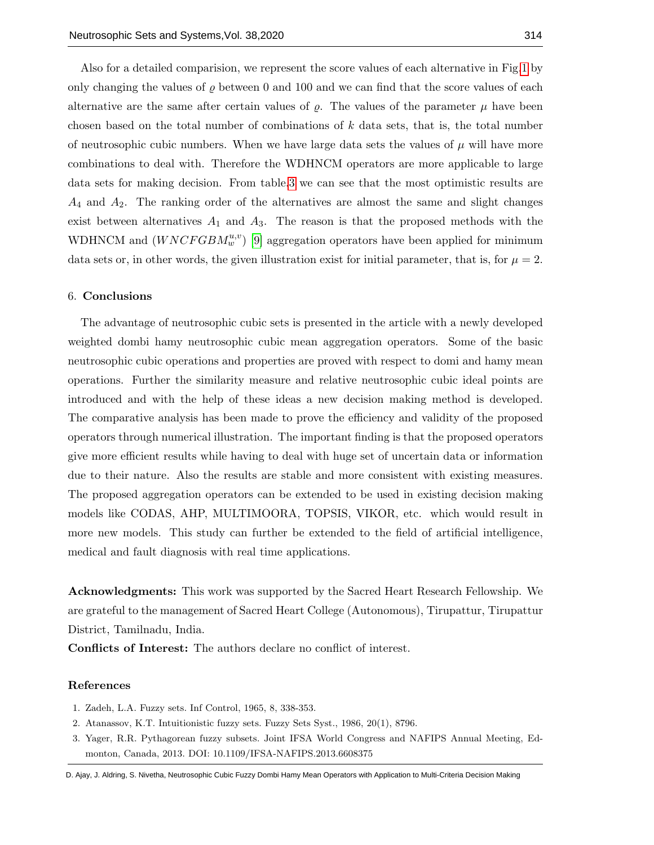Also for a detailed comparision, we represent the score values of each alternative in Fig[.1](#page-20-1) by only changing the values of  $\varrho$  between 0 and 100 and we can find that the score values of each alternative are the same after certain values of  $\rho$ . The values of the parameter  $\mu$  have been chosen based on the total number of combinations of  $k$  data sets, that is, the total number of neutrosophic cubic numbers. When we have large data sets the values of  $\mu$  will have more combinations to deal with. Therefore the WDHNCM operators are more applicable to large data sets for making decision. From table[.3](#page-20-0) we can see that the most optimistic results are  $A_4$  and  $A_2$ . The ranking order of the alternatives are almost the same and slight changes exist between alternatives  $A_1$  and  $A_3$ . The reason is that the proposed methods with the WDHNCM and  $(WNCFGBM_w^{u,v})$  [\[9\]](#page-22-4) aggregation operators have been applied for minimum data sets or, in other words, the given illustration exist for initial parameter, that is, for  $\mu = 2$ .

#### 6. Conclusions

The advantage of neutrosophic cubic sets is presented in the article with a newly developed weighted dombi hamy neutrosophic cubic mean aggregation operators. Some of the basic neutrosophic cubic operations and properties are proved with respect to domi and hamy mean operations. Further the similarity measure and relative neutrosophic cubic ideal points are introduced and with the help of these ideas a new decision making method is developed. The comparative analysis has been made to prove the efficiency and validity of the proposed operators through numerical illustration. The important finding is that the proposed operators give more efficient results while having to deal with huge set of uncertain data or information due to their nature. Also the results are stable and more consistent with existing measures. The proposed aggregation operators can be extended to be used in existing decision making models like CODAS, AHP, MULTIMOORA, TOPSIS, VIKOR, etc. which would result in more new models. This study can further be extended to the field of artificial intelligence, medical and fault diagnosis with real time applications.

Acknowledgments: This work was supported by the Sacred Heart Research Fellowship. We are grateful to the management of Sacred Heart College (Autonomous), Tirupattur, Tirupattur District, Tamilnadu, India.

Conflicts of Interest: The authors declare no conflict of interest.

# References

- <span id="page-21-0"></span>1. Zadeh, L.A. Fuzzy sets. Inf Control, 1965, 8, 338-353.
- <span id="page-21-1"></span>2. Atanassov, K.T. Intuitionistic fuzzy sets. Fuzzy Sets Syst., 1986, 20(1), 8796.
- 3. Yager, R.R. Pythagorean fuzzy subsets. Joint IFSA World Congress and NAFIPS Annual Meeting, Edmonton, Canada, 2013. DOI: 10.1109/IFSA-NAFIPS.2013.6608375

D. Ajay, J. Aldring, S. Nivetha, Neutrosophic Cubic Fuzzy Dombi Hamy Mean Operators with Application to Multi-Criteria Decision Making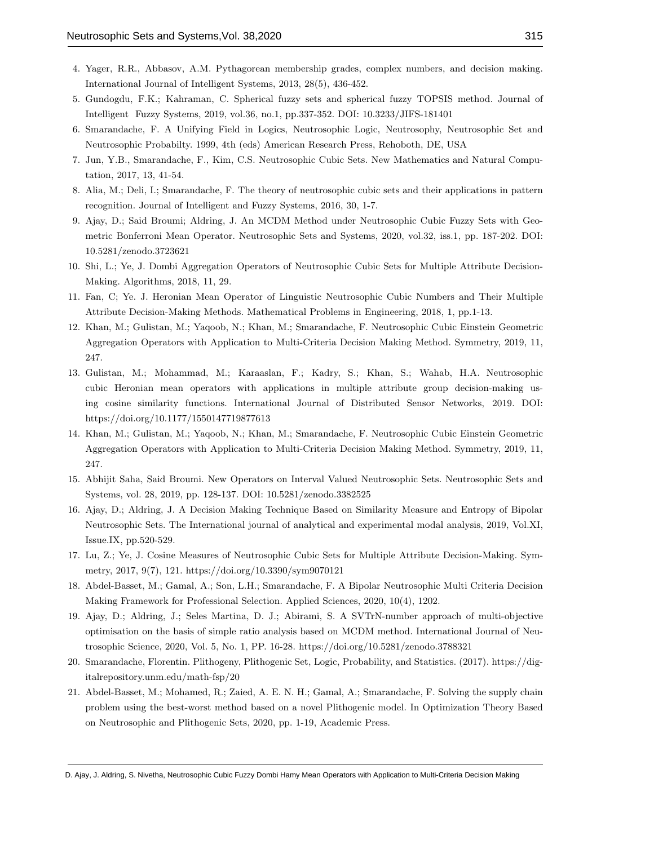- 4. Yager, R.R., Abbasov, A.M. Pythagorean membership grades, complex numbers, and decision making. International Journal of Intelligent Systems, 2013, 28(5), 436-452.
- <span id="page-22-0"></span>5. Gundogdu, F.K.; Kahraman, C. Spherical fuzzy sets and spherical fuzzy TOPSIS method. Journal of Intelligent Fuzzy Systems, 2019, vol.36, no.1, pp.337-352. DOI: 10.3233/JIFS-181401
- <span id="page-22-1"></span>6. Smarandache, F. A Unifying Field in Logics, Neutrosophic Logic, Neutrosophy, Neutrosophic Set and Neutrosophic Probabilty. 1999, 4th (eds) American Research Press, Rehoboth, DE, USA
- <span id="page-22-2"></span>7. Jun, Y.B., Smarandache, F., Kim, C.S. Neutrosophic Cubic Sets. New Mathematics and Natural Computation, 2017, 13, 41-54.
- <span id="page-22-3"></span>8. Alia, M.; Deli, I.; Smarandache, F. The theory of neutrosophic cubic sets and their applications in pattern recognition. Journal of Intelligent and Fuzzy Systems, 2016, 30, 1-7.
- <span id="page-22-4"></span>9. Ajay, D.; Said Broumi; Aldring, J. An MCDM Method under Neutrosophic Cubic Fuzzy Sets with Geometric Bonferroni Mean Operator. Neutrosophic Sets and Systems, 2020, vol.32, iss.1, pp. 187-202. DOI: 10.5281/zenodo.3723621
- <span id="page-22-5"></span>10. Shi, L.; Ye, J. Dombi Aggregation Operators of Neutrosophic Cubic Sets for Multiple Attribute Decision-Making. Algorithms, 2018, 11, 29.
- <span id="page-22-6"></span>11. Fan, C; Ye. J. Heronian Mean Operator of Linguistic Neutrosophic Cubic Numbers and Their Multiple Attribute Decision-Making Methods. Mathematical Problems in Engineering, 2018, 1, pp.1-13.
- <span id="page-22-7"></span>12. Khan, M.; Gulistan, M.; Yaqoob, N.; Khan, M.; Smarandache, F. Neutrosophic Cubic Einstein Geometric Aggregation Operators with Application to Multi-Criteria Decision Making Method. Symmetry, 2019, 11, 247.
- <span id="page-22-8"></span>13. Gulistan, M.; Mohammad, M.; Karaaslan, F.; Kadry, S.; Khan, S.; Wahab, H.A. Neutrosophic cubic Heronian mean operators with applications in multiple attribute group decision-making using cosine similarity functions. International Journal of Distributed Sensor Networks, 2019. DOI: https://doi.org/10.1177/1550147719877613
- <span id="page-22-9"></span>14. Khan, M.; Gulistan, M.; Yaqoob, N.; Khan, M.; Smarandache, F. Neutrosophic Cubic Einstein Geometric Aggregation Operators with Application to Multi-Criteria Decision Making Method. Symmetry, 2019, 11, 247.
- <span id="page-22-10"></span>15. Abhijit Saha, Said Broumi. New Operators on Interval Valued Neutrosophic Sets. Neutrosophic Sets and Systems, vol. 28, 2019, pp. 128-137. DOI: 10.5281/zenodo.3382525
- <span id="page-22-11"></span>16. Ajay, D.; Aldring, J. A Decision Making Technique Based on Similarity Measure and Entropy of Bipolar Neutrosophic Sets. The International journal of analytical and experimental modal analysis, 2019, Vol.XI, Issue.IX, pp.520-529.
- <span id="page-22-12"></span>17. Lu, Z.; Ye, J. Cosine Measures of Neutrosophic Cubic Sets for Multiple Attribute Decision-Making. Symmetry, 2017, 9(7), 121. https://doi.org/10.3390/sym9070121
- <span id="page-22-13"></span>18. Abdel-Basset, M.; Gamal, A.; Son, L.H.; Smarandache, F. A Bipolar Neutrosophic Multi Criteria Decision Making Framework for Professional Selection. Applied Sciences, 2020, 10(4), 1202.
- <span id="page-22-14"></span>19. Ajay, D.; Aldring, J.; Seles Martina, D. J.; Abirami, S. A SVTrN-number approach of multi-objective optimisation on the basis of simple ratio analysis based on MCDM method. International Journal of Neutrosophic Science, 2020, Vol. 5, No. 1, PP. 16-28. https://doi.org/10.5281/zenodo.3788321
- <span id="page-22-15"></span>20. Smarandache, Florentin. Plithogeny, Plithogenic Set, Logic, Probability, and Statistics. (2017). https://digitalrepository.unm.edu/math-fsp/20
- <span id="page-22-16"></span>21. Abdel-Basset, M.; Mohamed, R.; Zaied, A. E. N. H.; Gamal, A.; Smarandache, F. Solving the supply chain problem using the best-worst method based on a novel Plithogenic model. In Optimization Theory Based on Neutrosophic and Plithogenic Sets, 2020, pp. 1-19, Academic Press.